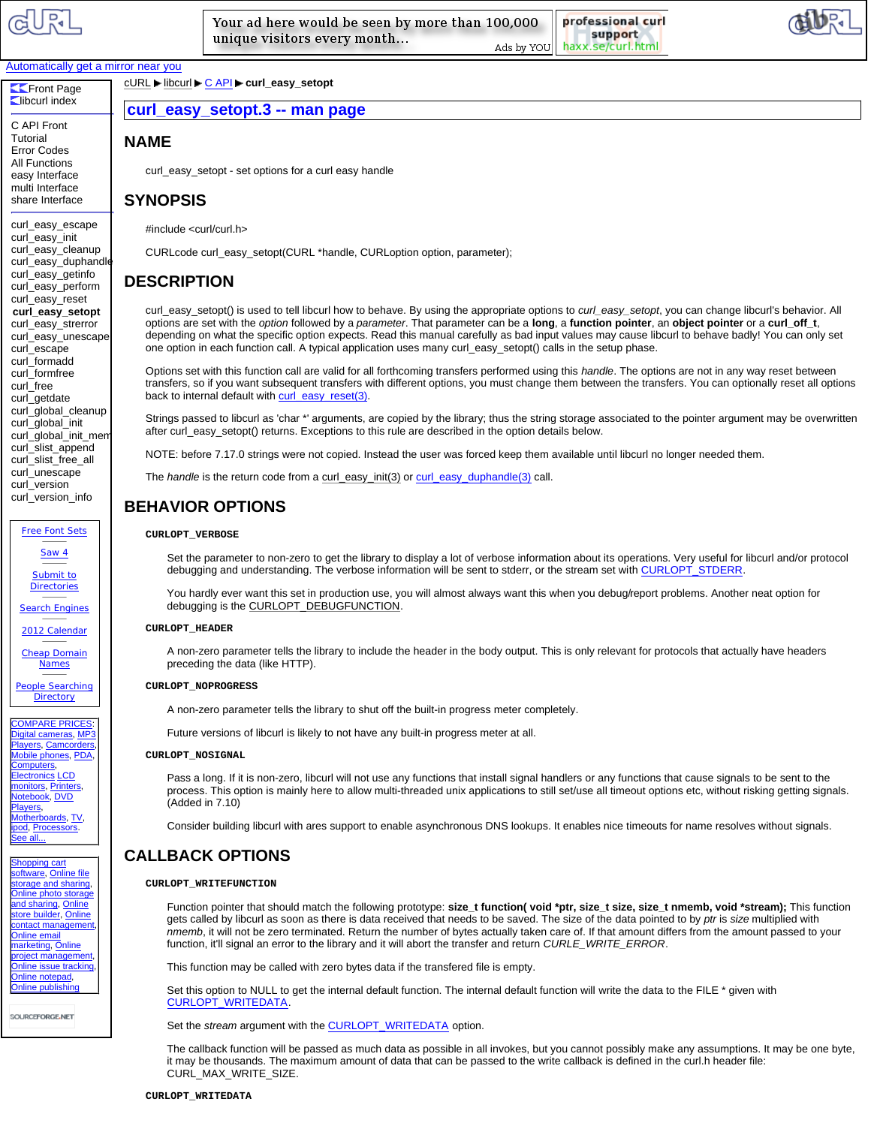

**Libcurl index** C API Front **Tutorial** Error Codes All Functions easy Interface multi Interface share Interface curl\_easy\_escape curl\_easy\_init curl\_easy\_cleanup [curl\\_easy\\_duphandle](http://curl.askapache.com) curl\_easy\_getinfo curl\_easy\_perform curl\_easy\_reset **curl\_easy\_setopt** curl\_easy\_strerror curl\_easy\_unescape curl\_escape curl\_formadd curl\_formfree curl\_free curl\_getdate curl\_global\_cleanup curl\_global\_init curl\_global\_init\_mem curl\_slist\_append curl\_slist\_free\_all curl\_unescape curl\_version curl\_version\_info

Free Font Sets Saw 4 Submit to **Directories** Search Engines 2012 Calendar Cheap Domain Names People Searching **Directory** COMPARE PRICES gital cameras, MP3 Players, Camcorders, Mobile phones, PDA, Computers, **Interfaction CCD** monitors, Printers, Notebook, DVD Players, herboards, TV, **pod, Processors.** ee all... hopping cart oftware, Online file torage and sharing Online photo storage nd sharing, Online ore builder, Online contact management Online email arketing, Online project management, Online issue tracking, nline notepad. nline publishing

SOURCEFORGE.NET

Your ad here would be seen by more than 100,000 unique visitors every month...

professional curl support haxx.se/curl.html Ads by YOU



## Automatically get a mirror near you

**Exercise** Page cURL libcurl C API curl\_easy\_setopt

# **curl\_easy\_setopt.3 -- man page**

# **NAME**

curl\_easy\_setopt - set options for a curl easy handle

## **SYNOPSIS**

#include <curl/curl.h>

CURLcode curl\_easy\_setopt(CURL \*handle, CURLoption option, parameter);

## **DESCRIPTION**

curl\_easy\_setopt() is used to tell libcurl how to behave. By using the appropriate options to *curl\_easy\_setopt*, you can change libcurl's behavior. All options are set with the *option* followed by a *parameter*. That parameter can be a **long**, a **function pointer**, an **object pointer** or a **curl\_off\_t**, depending on what the specific option expects. Read this manual carefully as bad input values may cause libcurl to behave badly! You can only set one option in each function call. A typical application uses many curl\_easy\_setopt() calls in the setup phase.

Options set with this function call are valid for all forthcoming transfers performed using this *handle*. The options are not in any way reset between transfers, so if you want subsequent transfers with different options, you must change them between the transfers. You can optionally reset all options back to internal default with curl\_easy\_reset(3).

Strings passed to libcurl as 'char \*' arguments, are copied by the library; thus the string storage associated to the pointer argument may be overwritten after curl\_easy\_setopt() returns. Exceptions to this rule are described in the option details below.

NOTE: before 7.17.0 strings were not copied. Instead the user was forced keep them available until libcurl no longer needed them.

The *handle* is the return code from a curl\_easy\_init(3) or curl\_easy\_duphandle(3) call.

# **BEHAVIOR OPTIONS**

#### **CURLOPT\_VERBOSE**

Set the parameter to non-zero to get the library to display a lot of verbose information about its operations. Very useful for libcurl and/or protocol debugging and understanding. The verbose information will be sent to stderr, or the stream set with CURLOPT\_STDERR.

You hardly ever want this set in production use, you will almost always want this when you debug/report problems. Another neat option for debugging is the CURLOPT\_DEBUGFUNCTION.

#### **CURLOPT\_HEADER**

A non-zero parameter tells the library to include the header in the body output. This is only relevant for protocols that actually have headers preceding the data (like HTTP).

### **CURLOPT\_NOPROGRESS**

A non-zero parameter tells the library to shut off the built-in progress meter completely.

Future versions of libcurl is likely to not have any built-in progress meter at all.

#### **CURLOPT\_NOSIGNAL**

Pass a long. If it is non-zero, libcurl will not use any functions that install signal handlers or any functions that cause signals to be sent to the process. This option is mainly here to allow multi-threaded unix applications to still set/use all timeout options etc, without risking getting signals. (Added in 7.10)

Consider building libcurl with ares support to enable asynchronous DNS lookups. It enables nice timeouts for name resolves without signals.

# **CALLBACK OPTIONS**

#### **CURLOPT\_WRITEFUNCTION**

Function pointer that should match the following prototype: **size\_t function( void \*ptr, size\_t size, size\_t nmemb, void \*stream);** This function gets called by libcurl as soon as there is data received that needs to be saved. The size of the data pointed to by *ptr* is *size* multiplied with *nmemb*, it will not be zero terminated. Return the number of bytes actually taken care of. If that amount differs from the amount passed to your function, it'll signal an error to the library and it will abort the transfer and return *CURLE\_WRITE\_ERROR*.

This function may be called with zero bytes data if the transfered file is empty.

Set this option to NULL to get the internal default function. The internal default function will write the data to the FILE \* given with CURLOPT\_WRITEDATA.

Set the *stream* argument with the **CURLOPT\_WRITEDATA** option.

The callback function will be passed as much data as possible in all invokes, but you cannot possibly make any assumptions. It may be one byte, it may be thousands. The maximum amount of data that can be passed to the write callback is defined in the curl.h header file: CURL\_MAX\_WRITE\_SIZE.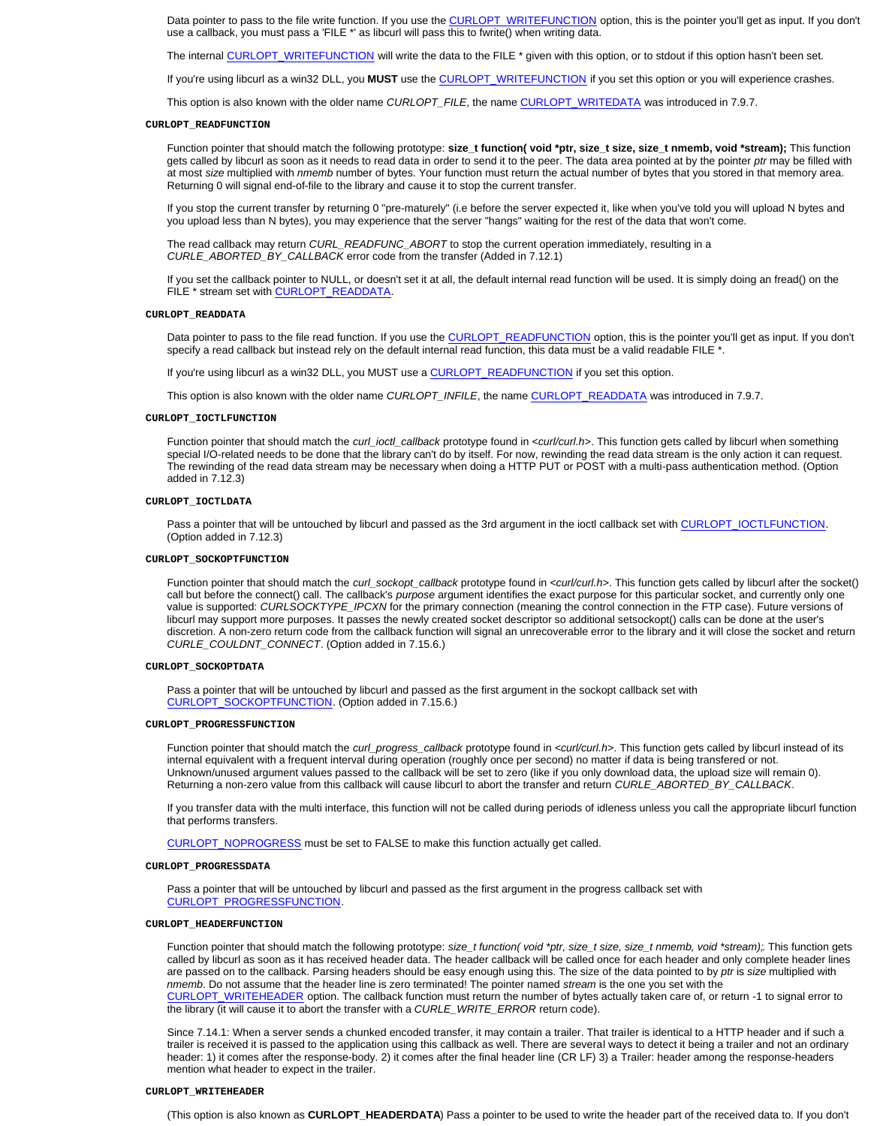Data pointer to pass to the file write function. If you use the CURLOPT\_WRITEFUNCTION option, this is the pointer you'll get as input. If you don't use a callback, you must pass a 'FILE \*' as libcurl will pass this to fwrite() when writing data.

The internal CURLOPT\_WRITEFUNCTION will write the data to the FILE \* given with this option, or to stdout if this option hasn't been set.

If you're using libcurl as a win32 DLL, you **MUST** use the CURLOPT\_WRITEFUNCTION if you set this option or you will experience crashes.

This option is also known with the older name *CURLOPT\_FILE*, the name CURLOPT\_WRITEDATA was introduced in 7.9.7.

#### **CURLOPT\_READFUNCTION**

Function pointer that should match the following prototype: **size\_t function( void \*ptr, size\_t size, size\_t nmemb, void \*stream);** This function gets called by libcurl as soon as it needs to read data in order to send it to the peer. The data area pointed at by the pointer *ptr* may be filled with at most *size* multiplied with *nmemb* number of bytes. Your function must return the actual number of bytes that you stored in that memory area. Returning 0 will signal end-of-file to the library and cause it to stop the current transfer.

If you stop the current transfer by returning 0 "pre-maturely" (i.e before the server expected it, like when you've told you will upload N bytes and you upload less than N bytes), you may experience that the server "hangs" waiting for the rest of the data that won't come.

The read callback may return *CURL\_READFUNC\_ABORT* to stop the current operation immediately, resulting in a *CURLE\_ABORTED\_BY\_CALLBACK* error code from the transfer (Added in 7.12.1)

If you set the callback pointer to NULL, or doesn't set it at all, the default internal read function will be used. It is simply doing an fread() on the FILE \* stream set with CURLOPT\_READDATA.

#### **CURLOPT\_READDATA**

Data pointer to pass to the file read function. If you use the CURLOPT\_READFUNCTION option, this is the pointer you'll get as input. If you don't specify a read callback but instead rely on the default internal read function, this data must be a valid readable FILE \*.

If you're using libcurl as a win32 DLL, you MUST use a **CURLOPT\_READFUNCTION** if you set this option.

This option is also known with the older name *CURLOPT\_INFILE*, the name *CURLOPT\_READDATA* was introduced in 7.9.7.

#### **CURLOPT\_IOCTLFUNCTION**

Function pointer that should match the *curl\_ioctl\_callback* prototype found in *<curl/curl.h>*. This function gets called by libcurl when something special I/O-related needs to be done that the library can't do by itself. For now, rewinding the read data stream is the only action it can request. The rewinding of the read data stream may be necessary when doing a HTTP PUT or POST with a multi-pass authentication method. (Option added in 7.12.3)

#### **CURLOPT\_IOCTLDATA**

Pass a pointer that will be untouched by libcurl and passed as the 3rd argument in the ioctl callback set with CURLOPT\_IOCTLFUNCTION. (Option added in 7.12.3)

#### **CURLOPT\_SOCKOPTFUNCTION**

Function pointer that should match the *curl\_sockopt\_callback* prototype found in *<curl/curl.h>*. This function gets called by libcurl after the socket() call but before the connect() call. The callback's *purpose* argument identifies the exact purpose for this particular socket, and currently only one value is supported: *CURLSOCKTYPE\_IPCXN* for the primary connection (meaning the control connection in the FTP case). Future versions of libcurl may support more purposes. It passes the newly created socket descriptor so additional setsockopt() calls can be done at the user's discretion. A non-zero return code from the callback function will signal an unrecoverable error to the library and it will close the socket and return *CURLE\_COULDNT\_CONNECT*. (Option added in 7.15.6.)

#### **CURLOPT\_SOCKOPTDATA**

Pass a pointer that will be untouched by libcurl and passed as the first argument in the sockopt callback set with CURLOPT\_SOCKOPTFUNCTION. (Option added in 7.15.6.)

## **CURLOPT\_PROGRESSFUNCTION**

Function pointer that should match the *curl\_progress\_callback* prototype found in *<curl/curl.h>*. This function gets called by libcurl instead of its internal equivalent with a frequent interval during operation (roughly once per second) no matter if data is being transfered or not. Unknown/unused argument values passed to the callback will be set to zero (like if you only download data, the upload size will remain 0). Returning a non-zero value from this callback will cause libcurl to abort the transfer and return *CURLE\_ABORTED\_BY\_CALLBACK*.

If you transfer data with the multi interface, this function will not be called during periods of idleness unless you call the appropriate libcurl function that performs transfers.

CURLOPT\_NOPROGRESS must be set to FALSE to make this function actually get called.

### **CURLOPT\_PROGRESSDATA**

Pass a pointer that will be untouched by libcurl and passed as the first argument in the progress callback set with CURLOPT\_PROGRESSFUNCTION.

## **CURLOPT\_HEADERFUNCTION**

Function pointer that should match the following prototype: *size\_t function( void \*ptr, size\_t size, size\_t nmemb, void \*stream);*. This function gets called by libcurl as soon as it has received header data. The header callback will be called once for each header and only complete header lines are passed on to the callback. Parsing headers should be easy enough using this. The size of the data pointed to by *ptr* is *size* multiplied with *nmemb*. Do not assume that the header line is zero terminated! The pointer named *stream* is the one you set with the CURLOPT\_WRITEHEADER option. The callback function must return the number of bytes actually taken care of, or return -1 to signal error to the library (it will cause it to abort the transfer with a *CURLE\_WRITE\_ERROR* return code).

Since 7.14.1: When a server sends a chunked encoded transfer, it may contain a trailer. That trailer is identical to a HTTP header and if such a trailer is received it is passed to the application using this callback as well. There are several ways to detect it being a trailer and not an ordinary header: 1) it comes after the response-body. 2) it comes after the final header line (CR LF) 3) a Trailer: header among the response-headers mention what header to expect in the trailer.

#### **CURLOPT\_WRITEHEADER**

(This option is also known as **CURLOPT HEADERDATA**) Pass a pointer to be used to write the header part of the received data to. If you don't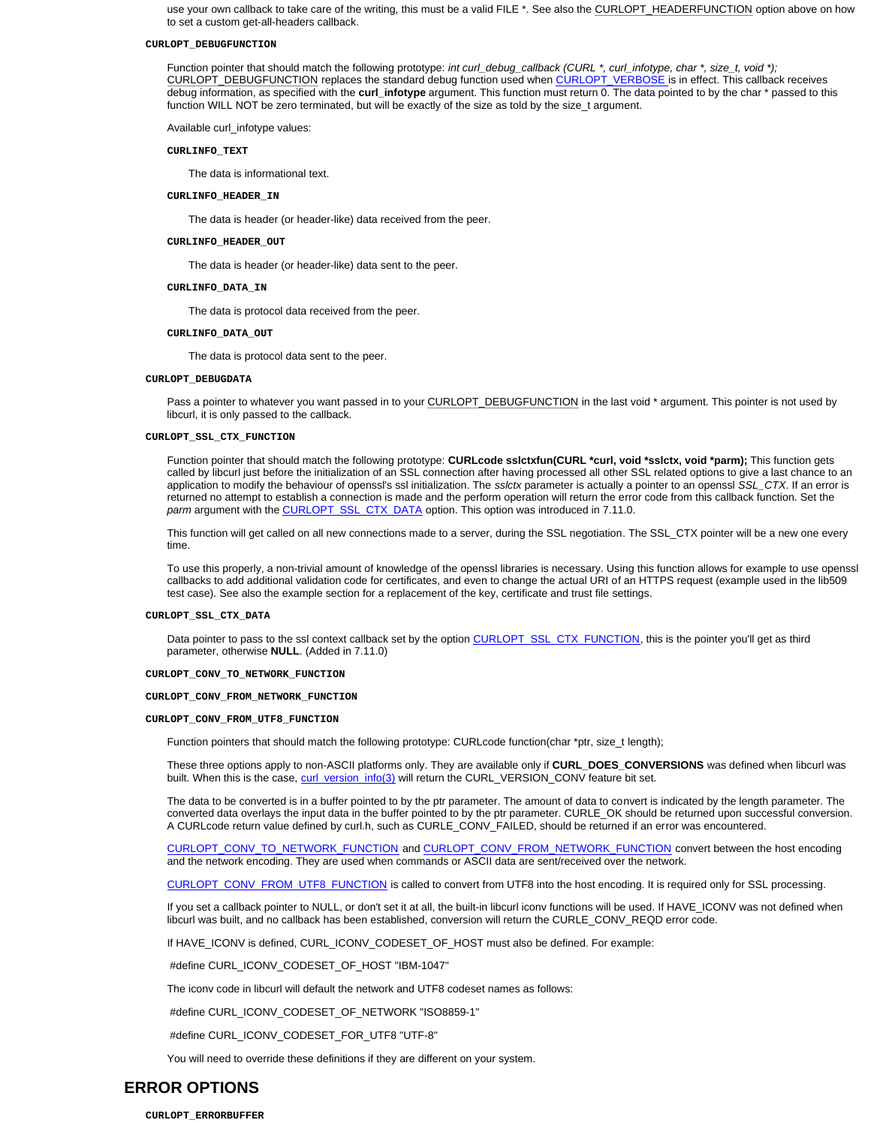use your own callback to take care of the writing, this must be a valid FILE \*. See also the CURLOPT\_HEADERFUNCTION option above on how to set a custom get-all-headers callback.

#### **CURLOPT\_DEBUGFUNCTION**

Function pointer that should match the following prototype: *int curl\_debug\_callback (CURL \*, curl\_infotype, char \*, size\_t, void \*);* CURLOPT\_DEBUGFUNCTION replaces the standard debug function used when CURLOPT\_VERBOSE is in effect. This callback receives debug information, as specified with the **curl\_infotype** argument. This function must return 0. The data pointed to by the char \* passed to this function WILL NOT be zero terminated, but will be exactly of the size as told by the size\_t argument.

Available curl\_infotype values:

#### **CURLINFO\_TEXT**

The data is informational text.

## **CURLINFO\_HEADER\_IN**

The data is header (or header-like) data received from the peer.

#### **CURLINFO\_HEADER\_OUT**

The data is header (or header-like) data sent to the peer.

#### **CURLINFO\_DATA\_IN**

The data is protocol data received from the peer.

#### **CURLINFO\_DATA\_OUT**

The data is protocol data sent to the peer.

### **CURLOPT\_DEBUGDATA**

Pass a pointer to whatever you want passed in to your CURLOPT\_DEBUGFUNCTION in the last void \* argument. This pointer is not used by libcurl, it is only passed to the callback.

## **CURLOPT\_SSL\_CTX\_FUNCTION**

Function pointer that should match the following prototype: **CURLcode sslctxfun(CURL \*curl, void \*sslctx, void \*parm);** This function gets called by libcurl just before the initialization of an SSL connection after having processed all other SSL related options to give a last chance to an application to modify the behaviour of openssl's ssl initialization. The *sslctx* parameter is actually a pointer to an openssl *SSL\_CTX*. If an error is returned no attempt to establish a connection is made and the perform operation will return the error code from this callback function. Set the *parm* argument with the CURLOPT\_SSL\_CTX\_DATA option. This option was introduced in 7.11.0.

This function will get called on all new connections made to a server, during the SSL negotiation. The SSL\_CTX pointer will be a new one every time.

To use this properly, a non-trivial amount of knowledge of the openssl libraries is necessary. Using this function allows for example to use openssl callbacks to add additional validation code for certificates, and even to change the actual URI of an HTTPS request (example used in the lib509 test case). See also the example section for a replacement of the key, certificate and trust file settings.

#### **CURLOPT\_SSL\_CTX\_DATA**

Data pointer to pass to the ssl context callback set by the option CURLOPT\_SSL\_CTX\_FUNCTION, this is the pointer you'll get as third parameter, otherwise **NULL**. (Added in 7.11.0)

#### **CURLOPT\_CONV\_TO\_NETWORK\_FUNCTION**

#### **CURLOPT\_CONV\_FROM\_NETWORK\_FUNCTION**

#### **CURLOPT\_CONV\_FROM\_UTF8\_FUNCTION**

Function pointers that should match the following prototype: CURLcode function(char \*ptr, size\_t length);

These three options apply to non-ASCII platforms only. They are available only if **CURL\_DOES\_CONVERSIONS** was defined when libcurl was built. When this is the case, curl\_version\_info(3) will return the CURL\_VERSION\_CONV feature bit set.

The data to be converted is in a buffer pointed to by the ptr parameter. The amount of data to convert is indicated by the length parameter. The converted data overlays the input data in the buffer pointed to by the ptr parameter. CURLE\_OK should be returned upon successful conversion. A CURLcode return value defined by curl.h, such as CURLE\_CONV\_FAILED, should be returned if an error was encountered.

CURLOPT\_CONV\_TO\_NETWORK\_FUNCTION and CURLOPT\_CONV\_FROM\_NETWORK\_FUNCTION convert between the host encoding and the network encoding. They are used when commands or ASCII data are sent/received over the network.

CURLOPT\_CONV\_FROM\_UTF8\_FUNCTION is called to convert from UTF8 into the host encoding. It is required only for SSL processing.

If you set a callback pointer to NULL, or don't set it at all, the built-in libcurl iconv functions will be used. If HAVE\_ICONV was not defined when libcurl was built, and no callback has been established, conversion will return the CURLE\_CONV\_REQD error code.

If HAVE\_ICONV is defined, CURL\_ICONV\_CODESET\_OF\_HOST must also be defined. For example:

#define CURL\_ICONV\_CODESET\_OF\_HOST "IBM-1047"

The iconv code in libcurl will default the network and UTF8 codeset names as follows:

#define CURL\_ICONV\_CODESET\_OF\_NETWORK "ISO8859-1"

#define CURL\_ICONV\_CODESET\_FOR\_UTF8 "UTF-8"

You will need to override these definitions if they are different on your system.

# **ERROR OPTIONS**

#### **CURLOPT\_ERRORBUFFER**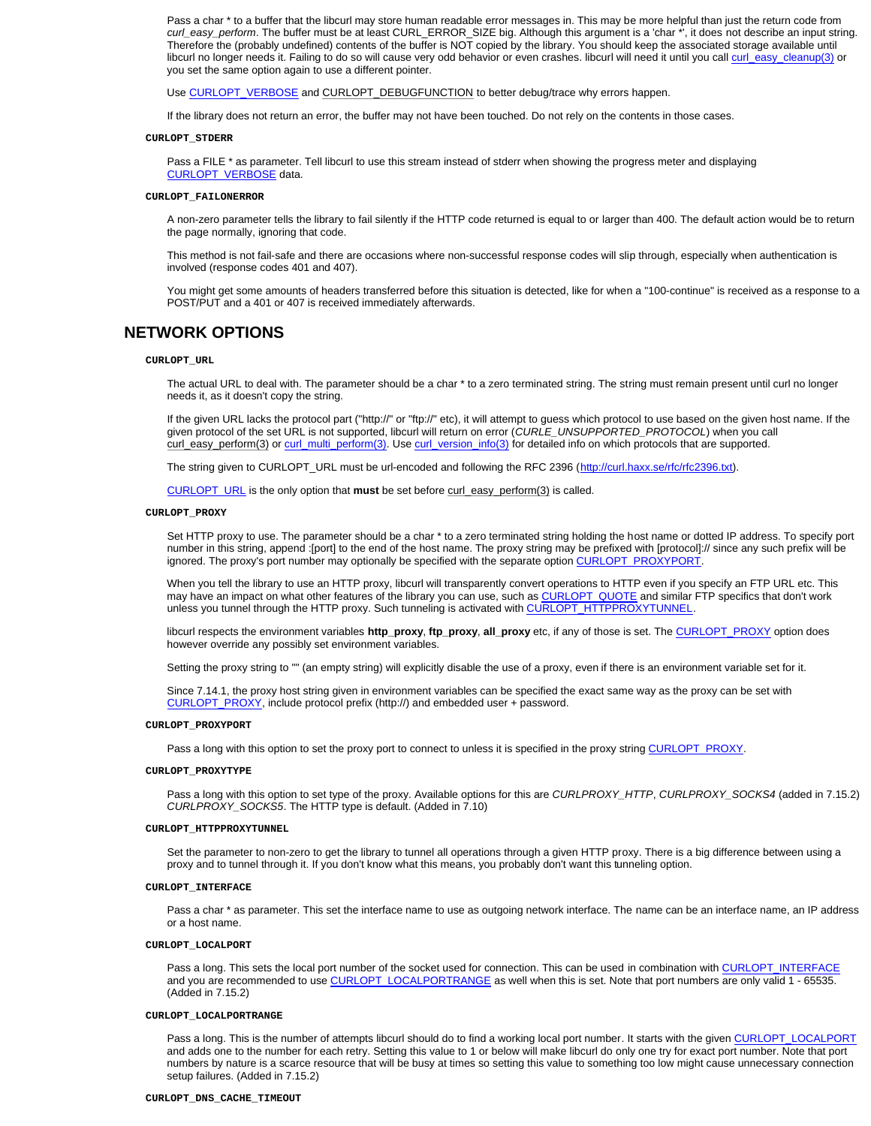Pass a char \* to a buffer that the libcurl may store human readable error messages in. This may be more helpful than just the return code from *curl\_easy\_perform*. The buffer must be at least CURL\_ERROR\_SIZE big. Although this argument is a 'char \*', it does not describe an input string. Therefore the (probably undefined) contents of the buffer is NOT copied by the library. You should keep the associated storage available until libcurl no longer needs it. Failing to do so will cause very odd behavior or even crashes. libcurl will need it until you call curl\_easy\_cleanup(3) or you set the same option again to use a different pointer.

Use CURLOPT\_VERBOSE and CURLOPT\_DEBUGFUNCTION to better debug/trace why errors happen.

If the library does not return an error, the buffer may not have been touched. Do not rely on the contents in those cases.

## **CURLOPT\_STDERR**

Pass a FILE \* as parameter. Tell libcurl to use this stream instead of stderr when showing the progress meter and displaying CURLOPT\_VERBOSE data.

#### **CURLOPT\_FAILONERROR**

A non-zero parameter tells the library to fail silently if the HTTP code returned is equal to or larger than 400. The default action would be to return the page normally, ignoring that code.

This method is not fail-safe and there are occasions where non-successful response codes will slip through, especially when authentication is involved (response codes 401 and 407).

You might get some amounts of headers transferred before this situation is detected, like for when a "100-continue" is received as a response to a POST/PUT and a 401 or 407 is received immediately afterwards.

## **NETWORK OPTIONS**

#### **CURLOPT\_URL**

The actual URL to deal with. The parameter should be a char \* to a zero terminated string. The string must remain present until curl no longer needs it, as it doesn't copy the string.

If the given URL lacks the protocol part ("http://" or "ftp://" etc), it will attempt to guess which protocol to use based on the given host name. If the given protocol of the set URL is not supported, libcurl will return on error (*CURLE\_UNSUPPORTED\_PROTOCOL*) when you call curl\_easy\_perform(3) or curl\_multi\_perform(3). Use curl\_version\_info(3) for detailed info on which protocols that are supported.

The string given to CURLOPT\_URL must be url-encoded and following the RFC 2396 (http://curl.haxx.se/rfc/rfc2396.txt).

CURLOPT\_URL is the only option that **must** be set before curl\_easy\_perform(3) is called.

### **CURLOPT\_PROXY**

Set HTTP proxy to use. The parameter should be a char \* to a zero terminated string holding the host name or dotted IP address. To specify port number in this string, append :[port] to the end of the host name. The proxy string may be prefixed with [protocol]:// since any such prefix will be ignored. The proxy's port number may optionally be specified with the separate option CURLOPT\_PROXYPORT

When you tell the library to use an HTTP proxy, libcurl will transparently convert operations to HTTP even if you specify an FTP URL etc. This may have an impact on what other features of the library you can use, such as CURLOPT\_QUOTE and similar FTP specifics that don't work unless you tunnel through the HTTP proxy. Such tunneling is activated with CURLOPT\_HTTPPROXYTUNNEL.

libcurl respects the environment variables **http\_proxy**, **ftp\_proxy**, **all\_proxy** etc, if any of those is set. The CURLOPT\_PROXY option does however override any possibly set environment variables.

Setting the proxy string to "" (an empty string) will explicitly disable the use of a proxy, even if there is an environment variable set for it.

Since 7.14.1, the proxy host string given in environment variables can be specified the exact same way as the proxy can be set with CURLOPT\_PROXY, include protocol prefix (http://) and embedded user + password.

## **CURLOPT\_PROXYPORT**

Pass a long with this option to set the proxy port to connect to unless it is specified in the proxy string CURLOPT\_PROXY.

## **CURLOPT\_PROXYTYPE**

Pass a long with this option to set type of the proxy. Available options for this are *CURLPROXY\_HTTP*, *CURLPROXY\_SOCKS4* (added in 7.15.2) *CURLPROXY\_SOCKS5*. The HTTP type is default. (Added in 7.10)

### **CURLOPT\_HTTPPROXYTUNNEL**

Set the parameter to non-zero to get the library to tunnel all operations through a given HTTP proxy. There is a big difference between using a proxy and to tunnel through it. If you don't know what this means, you probably don't want this tunneling option.

#### **CURLOPT\_INTERFACE**

Pass a char \* as parameter. This set the interface name to use as outgoing network interface. The name can be an interface name, an IP address or a host name.

#### **CURLOPT\_LOCALPORT**

Pass a long. This sets the local port number of the socket used for connection. This can be used in combination with CURLOPT\_INTERFACE and you are recommended to use CURLOPT\_LOCALPORTRANGE as well when this is set. Note that port numbers are only valid 1 - 65535. (Added in 7.15.2)

## **CURLOPT\_LOCALPORTRANGE**

Pass a long. This is the number of attempts libcurl should do to find a working local port number. It starts with the given CURLOPT\_LOCALPORT and adds one to the number for each retry. Setting this value to 1 or below will make libcurl do only one try for exact port number. Note that port numbers by nature is a scarce resource that will be busy at times so setting this value to something too low might cause unnecessary connection setup failures. (Added in 7.15.2)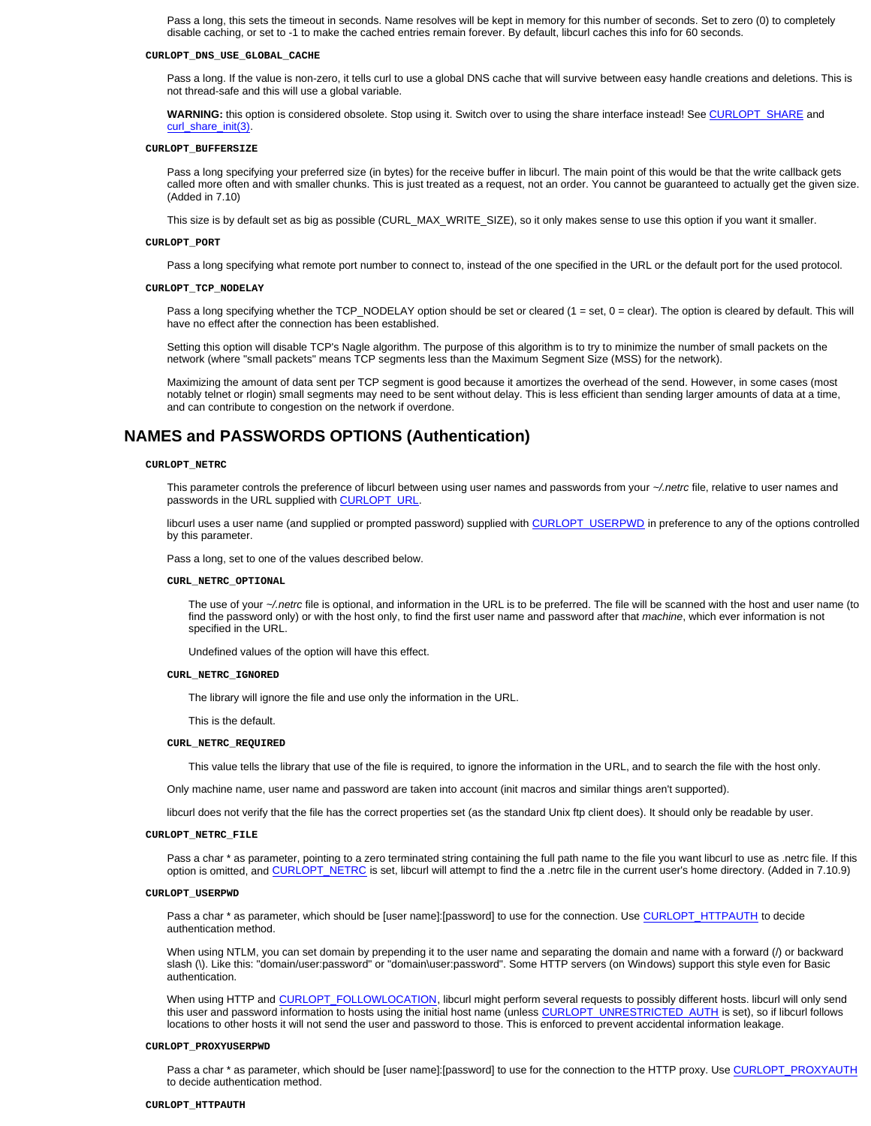Pass a long, this sets the timeout in seconds. Name resolves will be kept in memory for this number of seconds. Set to zero (0) to completely disable caching, or set to -1 to make the cached entries remain forever. By default, libcurl caches this info for 60 seconds.

#### **CURLOPT\_DNS\_USE\_GLOBAL\_CACHE**

Pass a long. If the value is non-zero, it tells curl to use a global DNS cache that will survive between easy handle creations and deletions. This is not thread-safe and this will use a global variable.

**WARNING:** this option is considered obsolete. Stop using it. Switch over to using the share interface instead! See CURLOPT\_SHARE and curl\_share\_init(3).

#### **CURLOPT\_BUFFERSIZE**

Pass a long specifying your preferred size (in bytes) for the receive buffer in libcurl. The main point of this would be that the write callback gets called more often and with smaller chunks. This is just treated as a request, not an order. You cannot be guaranteed to actually get the given size. (Added in 7.10)

This size is by default set as big as possible (CURL\_MAX\_WRITE\_SIZE), so it only makes sense to use this option if you want it smaller.

#### **CURLOPT\_PORT**

Pass a long specifying what remote port number to connect to, instead of the one specified in the URL or the default port for the used protocol.

#### **CURLOPT\_TCP\_NODELAY**

Pass a long specifying whether the TCP\_NODELAY option should be set or cleared (1 = set, 0 = clear). The option is cleared by default. This will have no effect after the connection has been established.

Setting this option will disable TCP's Nagle algorithm. The purpose of this algorithm is to try to minimize the number of small packets on the network (where "small packets" means TCP segments less than the Maximum Segment Size (MSS) for the network).

Maximizing the amount of data sent per TCP segment is good because it amortizes the overhead of the send. However, in some cases (most notably telnet or rlogin) small segments may need to be sent without delay. This is less efficient than sending larger amounts of data at a time, and can contribute to congestion on the network if overdone.

## **NAMES and PASSWORDS OPTIONS (Authentication)**

#### **CURLOPT\_NETRC**

This parameter controls the preference of libcurl between using user names and passwords from your *~/.netrc* file, relative to user names and passwords in the URL supplied with CURLOPT\_URL.

libcurl uses a user name (and supplied or prompted password) supplied with CURLOPT\_USERPWD in preference to any of the options controlled by this parameter.

Pass a long, set to one of the values described below.

#### **CURL\_NETRC\_OPTIONAL**

The use of your *~/.netrc* file is optional, and information in the URL is to be preferred. The file will be scanned with the host and user name (to find the password only) or with the host only, to find the first user name and password after that *machine*, which ever information is not specified in the URL.

Undefined values of the option will have this effect.

#### **CURL\_NETRC\_IGNORED**

The library will ignore the file and use only the information in the URL.

This is the default.

#### **CURL\_NETRC\_REQUIRED**

This value tells the library that use of the file is required, to ignore the information in the URL, and to search the file with the host only.

Only machine name, user name and password are taken into account (init macros and similar things aren't supported).

libcurl does not verify that the file has the correct properties set (as the standard Unix ftp client does). It should only be readable by user.

## **CURLOPT\_NETRC\_FILE**

Pass a char \* as parameter, pointing to a zero terminated string containing the full path name to the file you want libcurl to use as .netrc file. If this option is omitted, and CURLOPT\_NETRC is set, libcurl will attempt to find the a .netrc file in the current user's home directory. (Added in 7.10.9)

#### **CURLOPT\_USERPWD**

Pass a char \* as parameter, which should be [user name]:[password] to use for the connection. Use CURLOPT\_HTTPAUTH to decide authentication method.

When using NTLM, you can set domain by prepending it to the user name and separating the domain and name with a forward (/) or backward slash (\). Like this: "domain/user:password" or "domain\user:password". Some HTTP servers (on Windows) support this style even for Basic authentication.

When using HTTP and CURLOPT\_FOLLOWLOCATION, libcurl might perform several requests to possibly different hosts. libcurl will only send this user and password information to hosts using the initial host name (unless CURLOPT\_UNRESTRICTED\_AUTH is set), so if libcurl follows locations to other hosts it will not send the user and password to those. This is enforced to prevent accidental information leakage.

#### **CURLOPT\_PROXYUSERPWD**

Pass a char \* as parameter, which should be [user name]:[password] to use for the connection to the HTTP proxy. Use CURLOPT\_PROXYAUTH to decide authentication method.

#### **CURLOPT\_HTTPAUTH**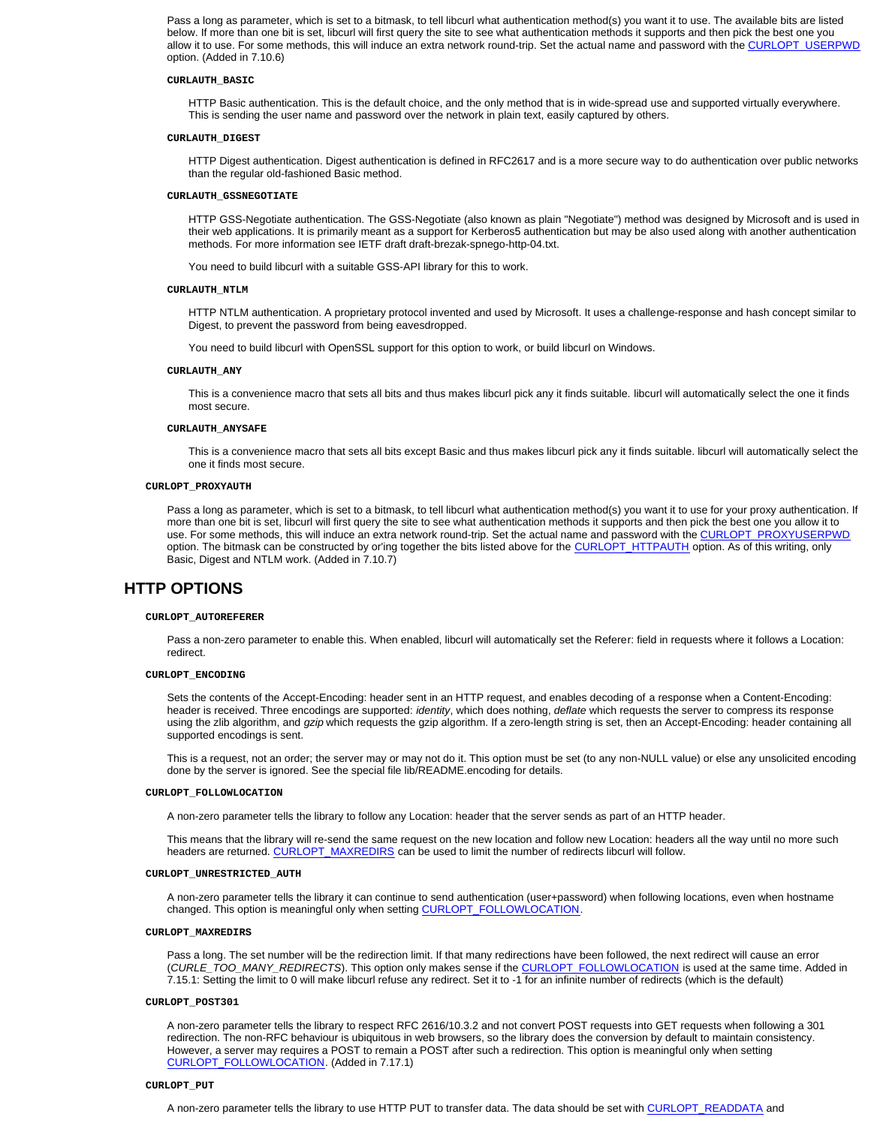Pass a long as parameter, which is set to a bitmask, to tell libcurl what authentication method(s) you want it to use. The available bits are listed below. If more than one bit is set, libcurl will first query the site to see what authentication methods it supports and then pick the best one you allow it to use. For some methods, this will induce an extra network round-trip. Set the actual name and password with the CURLOPT\_USERPWD option. (Added in 7.10.6)

## **CURLAUTH\_BASIC**

HTTP Basic authentication. This is the default choice, and the only method that is in wide-spread use and supported virtually everywhere. This is sending the user name and password over the network in plain text, easily captured by others.

#### **CURLAUTH\_DIGEST**

HTTP Digest authentication. Digest authentication is defined in RFC2617 and is a more secure way to do authentication over public networks than the regular old-fashioned Basic method.

#### **CURLAUTH\_GSSNEGOTIATE**

HTTP GSS-Negotiate authentication. The GSS-Negotiate (also known as plain "Negotiate") method was designed by Microsoft and is used in their web applications. It is primarily meant as a support for Kerberos5 authentication but may be also used along with another authentication methods. For more information see IETF draft draft-brezak-spnego-http-04.txt.

You need to build libcurl with a suitable GSS-API library for this to work.

### **CURLAUTH\_NTLM**

HTTP NTLM authentication. A proprietary protocol invented and used by Microsoft. It uses a challenge-response and hash concept similar to Digest, to prevent the password from being eavesdropped.

You need to build libcurl with OpenSSL support for this option to work, or build libcurl on Windows.

#### **CURLAUTH\_ANY**

This is a convenience macro that sets all bits and thus makes libcurl pick any it finds suitable. libcurl will automatically select the one it finds most secure.

## **CURLAUTH\_ANYSAFE**

This is a convenience macro that sets all bits except Basic and thus makes libcurl pick any it finds suitable. libcurl will automatically select the one it finds most secure.

#### **CURLOPT\_PROXYAUTH**

Pass a long as parameter, which is set to a bitmask, to tell libcurl what authentication method(s) you want it to use for your proxy authentication. If more than one bit is set, libcurl will first query the site to see what authentication methods it supports and then pick the best one you allow it to use. For some methods, this will induce an extra network round-trip. Set the actual name and password with the CURLOPT\_PROXYUSERPWD option. The bitmask can be constructed by or'ing together the bits listed above for the CURLOPT\_HTTPAUTH option. As of this writing, only Basic, Digest and NTLM work. (Added in 7.10.7)

## **HTTP OPTIONS**

### **CURLOPT\_AUTOREFERER**

Pass a non-zero parameter to enable this. When enabled, libcurl will automatically set the Referer: field in requests where it follows a Location: redirect.

#### **CURLOPT\_ENCODING**

Sets the contents of the Accept-Encoding: header sent in an HTTP request, and enables decoding of a response when a Content-Encoding: header is received. Three encodings are supported: *identity*, which does nothing, *deflate* which requests the server to compress its response using the zlib algorithm, and *gzip* which requests the gzip algorithm. If a zero-length string is set, then an Accept-Encoding: header containing all supported encodings is sent.

This is a request, not an order; the server may or may not do it. This option must be set (to any non-NULL value) or else any unsolicited encoding done by the server is ignored. See the special file lib/README.encoding for details.

#### **CURLOPT\_FOLLOWLOCATION**

A non-zero parameter tells the library to follow any Location: header that the server sends as part of an HTTP header.

This means that the library will re-send the same request on the new location and follow new Location: headers all the way until no more such headers are returned. CURLOPT\_MAXREDIRS can be used to limit the number of redirects libcurl will follow.

## **CURLOPT\_UNRESTRICTED\_AUTH**

A non-zero parameter tells the library it can continue to send authentication (user+password) when following locations, even when hostname changed. This option is meaningful only when setting CURLOPT\_FOLLOWLOCATION.

#### **CURLOPT\_MAXREDIRS**

Pass a long. The set number will be the redirection limit. If that many redirections have been followed, the next redirect will cause an error (*CURLE\_TOO\_MANY\_REDIRECTS*). This option only makes sense if the CURLOPT\_FOLLOWLOCATION is used at the same time. Added in 7.15.1: Setting the limit to 0 will make libcurl refuse any redirect. Set it to -1 for an infinite number of redirects (which is the default)

#### **CURLOPT\_POST301**

A non-zero parameter tells the library to respect RFC 2616/10.3.2 and not convert POST requests into GET requests when following a 301 redirection. The non-RFC behaviour is ubiquitous in web browsers, so the library does the conversion by default to maintain consistency. However, a server may requires a POST to remain a POST after such a redirection. This option is meaningful only when setting CURLOPT\_FOLLOWLOCATION. (Added in 7.17.1)

## **CURLOPT\_PUT**

A non-zero parameter tells the library to use HTTP PUT to transfer data. The data should be set with CURLOPT\_READDATA and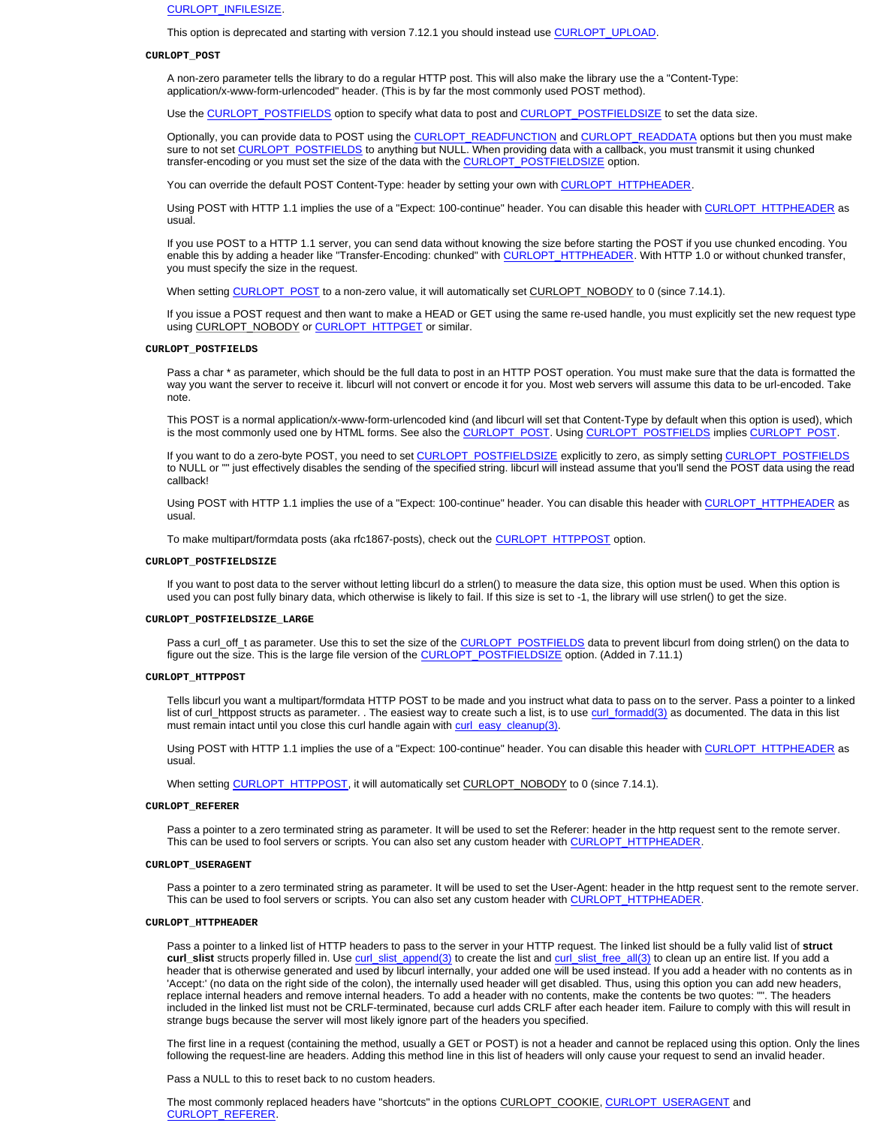CURLOPT\_INFILESIZE.

This option is deprecated and starting with version 7.12.1 you should instead use CURLOPT\_UPLOAD.

#### **CURLOPT\_POST**

A non-zero parameter tells the library to do a regular HTTP post. This will also make the library use the a "Content-Type: application/x-www-form-urlencoded" header. (This is by far the most commonly used POST method).

Use the CURLOPT\_POSTFIELDS option to specify what data to post and CURLOPT\_POSTFIELDSIZE to set the data size.

Optionally, you can provide data to POST using the CURLOPT\_READFUNCTION and CURLOPT\_READDATA options but then you must make sure to not set CURLOPT\_POSTFIELDS to anything but NULL. When providing data with a callback, you must transmit it using chunked transfer-encoding or you must set the size of the data with the CURLOPT\_POSTFIELDSIZE option.

You can override the default POST Content-Type: header by setting your own with CURLOPT\_HTTPHEADER.

Using POST with HTTP 1.1 implies the use of a "Expect: 100-continue" header. You can disable this header with CURLOPT\_HTTPHEADER as usual.

If you use POST to a HTTP 1.1 server, you can send data without knowing the size before starting the POST if you use chunked encoding. You enable this by adding a header like "Transfer-Encoding: chunked" with CURLOPT\_HTTPHEADER. With HTTP 1.0 or without chunked transfer, you must specify the size in the request.

When setting CURLOPT\_POST to a non-zero value, it will automatically set CURLOPT\_NOBODY to 0 (since 7.14.1).

If you issue a POST request and then want to make a HEAD or GET using the same re-used handle, you must explicitly set the new request type using CURLOPT\_NOBODY or CURLOPT\_HTTPGET or similar.

## **CURLOPT\_POSTFIELDS**

Pass a char \* as parameter, which should be the full data to post in an HTTP POST operation. You must make sure that the data is formatted the way you want the server to receive it. libcurl will not convert or encode it for you. Most web servers will assume this data to be url-encoded. Take note.

This POST is a normal application/x-www-form-urlencoded kind (and libcurl will set that Content-Type by default when this option is used), which is the most commonly used one by HTML forms. See also the CURLOPT\_POST. Using CURLOPT\_POSTFIELDS implies CURLOPT\_POST

If you want to do a zero-byte POST, you need to set CURLOPT\_POSTFIELDSIZE explicitly to zero, as simply setting CURLOPT\_POSTFIELDS to NULL or "" just effectively disables the sending of the specified string. libcurl will instead assume that you'll send the POST data using the read callback!

Using POST with HTTP 1.1 implies the use of a "Expect: 100-continue" header. You can disable this header with CURLOPT\_HTTPHEADER as usual.

To make multipart/formdata posts (aka rfc1867-posts), check out the CURLOPT\_HTTPPOST option.

#### **CURLOPT\_POSTFIELDSIZE**

If you want to post data to the server without letting libcurl do a strlen() to measure the data size, this option must be used. When this option is used you can post fully binary data, which otherwise is likely to fail. If this size is set to -1, the library will use strlen() to get the size.

#### **CURLOPT\_POSTFIELDSIZE\_LARGE**

Pass a curl\_off\_t as parameter. Use this to set the size of the CURLOPT\_POSTFIELDS data to prevent libcurl from doing strlen() on the data to figure out the size. This is the large file version of the CURLOPT\_POSTFIELDSIZE option. (Added in 7.11.1)

#### **CURLOPT\_HTTPPOST**

Tells libcurl you want a multipart/formdata HTTP POST to be made and you instruct what data to pass on to the server. Pass a pointer to a linked list of curl\_httppost structs as parameter. . The easiest way to create such a list, is to use curl\_formadd(3) as documented. The data in this list must remain intact until you close this curl handle again with curl\_easy\_cleanup(3).

Using POST with HTTP 1.1 implies the use of a "Expect: 100-continue" header. You can disable this header with CURLOPT\_HTTPHEADER as usual.

When setting CURLOPT\_HTTPPOST, it will automatically set CURLOPT\_NOBODY to 0 (since 7.14.1).

#### **CURLOPT\_REFERER**

Pass a pointer to a zero terminated string as parameter. It will be used to set the Referer: header in the http request sent to the remote server. This can be used to fool servers or scripts. You can also set any custom header with CURLOPT\_HTTPHEADER.

#### **CURLOPT\_USERAGENT**

Pass a pointer to a zero terminated string as parameter. It will be used to set the User-Agent: header in the http request sent to the remote server. This can be used to fool servers or scripts. You can also set any custom header with CURLOPT\_HTTPHEADER.

#### **CURLOPT\_HTTPHEADER**

Pass a pointer to a linked list of HTTP headers to pass to the server in your HTTP request. The linked list should be a fully valid list of **struct**  curl\_slist structs properly filled in. Use curl\_slist\_append(3) to create the list and curl\_slist\_free\_all(3) to clean up an entire list. If you add a header that is otherwise generated and used by libcurl internally, your added one will be used instead. If you add a header with no contents as in 'Accept:' (no data on the right side of the colon), the internally used header will get disabled. Thus, using this option you can add new headers, replace internal headers and remove internal headers. To add a header with no contents, make the contents be two quotes: "". The headers included in the linked list must not be CRLF-terminated, because curl adds CRLF after each header item. Failure to comply with this will result in strange bugs because the server will most likely ignore part of the headers you specified.

The first line in a request (containing the method, usually a GET or POST) is not a header and cannot be replaced using this option. Only the lines following the request-line are headers. Adding this method line in this list of headers will only cause your request to send an invalid header.

Pass a NULL to this to reset back to no custom headers.

The most commonly replaced headers have "shortcuts" in the options CURLOPT\_COOKIE, CURLOPT\_USERAGENT and CURLOPT\_REFERER.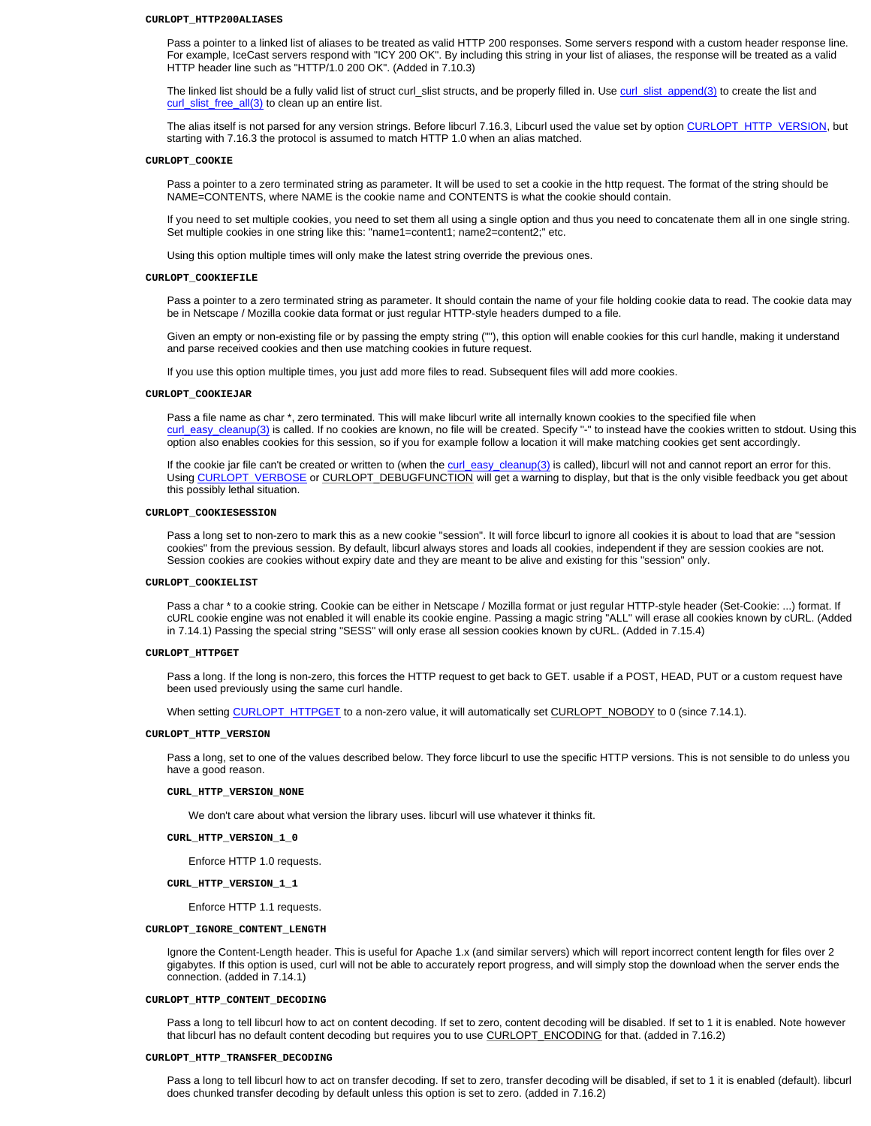#### **CURLOPT\_HTTP200ALIASES**

Pass a pointer to a linked list of aliases to be treated as valid HTTP 200 responses. Some servers respond with a custom header response line. For example, IceCast servers respond with "ICY 200 OK". By including this string in your list of aliases, the response will be treated as a valid HTTP header line such as "HTTP/1.0 200 OK". (Added in 7.10.3)

The linked list should be a fully valid list of struct curl\_slist structs, and be properly filled in. Use curl\_slist\_append(3) to create the list and curl\_slist\_free\_all(3) to clean up an entire list.

The alias itself is not parsed for any version strings. Before libcurl 7.16.3, Libcurl used the value set by option CURLOPT\_HTTP\_VERSION, but starting with 7.16.3 the protocol is assumed to match HTTP 1.0 when an alias matched.

#### **CURLOPT\_COOKIE**

Pass a pointer to a zero terminated string as parameter. It will be used to set a cookie in the http request. The format of the string should be NAME=CONTENTS, where NAME is the cookie name and CONTENTS is what the cookie should contain.

If you need to set multiple cookies, you need to set them all using a single option and thus you need to concatenate them all in one single string. Set multiple cookies in one string like this: "name1=content1; name2=content2;" etc.

Using this option multiple times will only make the latest string override the previous ones.

#### **CURLOPT\_COOKIEFILE**

Pass a pointer to a zero terminated string as parameter. It should contain the name of your file holding cookie data to read. The cookie data may be in Netscape / Mozilla cookie data format or just regular HTTP-style headers dumped to a file.

Given an empty or non-existing file or by passing the empty string (""), this option will enable cookies for this curl handle, making it understand and parse received cookies and then use matching cookies in future request.

If you use this option multiple times, you just add more files to read. Subsequent files will add more cookies.

#### **CURLOPT\_COOKIEJAR**

Pass a file name as char \*, zero terminated. This will make libcurl write all internally known cookies to the specified file when curl\_easy\_cleanup(3) is called. If no cookies are known, no file will be created. Specify "-" to instead have the cookies written to stdout. Using this option also enables cookies for this session, so if you for example follow a location it will make matching cookies get sent accordingly.

If the cookie jar file can't be created or written to (when the curl\_easy\_cleanup(3) is called), libcurl will not and cannot report an error for this. Using CURLOPT\_VERBOSE or CURLOPT\_DEBUGFUNCTION will get a warning to display, but that is the only visible feedback you get about this possibly lethal situation.

#### **CURLOPT\_COOKIESESSION**

Pass a long set to non-zero to mark this as a new cookie "session". It will force libcurl to ignore all cookies it is about to load that are "session cookies" from the previous session. By default, libcurl always stores and loads all cookies, independent if they are session cookies are not. Session cookies are cookies without expiry date and they are meant to be alive and existing for this "session" only.

### **CURLOPT\_COOKIELIST**

Pass a char \* to a cookie string. Cookie can be either in Netscape / Mozilla format or just regular HTTP-style header (Set-Cookie: ...) format. If cURL cookie engine was not enabled it will enable its cookie engine. Passing a magic string "ALL" will erase all cookies known by cURL. (Added in 7.14.1) Passing the special string "SESS" will only erase all session cookies known by cURL. (Added in 7.15.4)

#### **CURLOPT\_HTTPGET**

Pass a long. If the long is non-zero, this forces the HTTP request to get back to GET. usable if a POST, HEAD, PUT or a custom request have been used previously using the same curl handle.

When setting CURLOPT\_HTTPGET to a non-zero value, it will automatically set CURLOPT\_NOBODY to 0 (since 7.14.1).

#### **CURLOPT\_HTTP\_VERSION**

Pass a long, set to one of the values described below. They force libcurl to use the specific HTTP versions. This is not sensible to do unless you have a good reason.

### **CURL\_HTTP\_VERSION\_NONE**

We don't care about what version the library uses. libcurl will use whatever it thinks fit.

**CURL\_HTTP\_VERSION\_1\_0**

Enforce HTTP 1.0 requests.

**CURL\_HTTP\_VERSION\_1\_1**

Enforce HTTP 1.1 requests.

## **CURLOPT\_IGNORE\_CONTENT\_LENGTH**

Ignore the Content-Length header. This is useful for Apache 1.x (and similar servers) which will report incorrect content length for files over 2 gigabytes. If this option is used, curl will not be able to accurately report progress, and will simply stop the download when the server ends the connection. (added in 7.14.1)

#### **CURLOPT\_HTTP\_CONTENT\_DECODING**

Pass a long to tell libcurl how to act on content decoding. If set to zero, content decoding will be disabled. If set to 1 it is enabled. Note however that libcurl has no default content decoding but requires you to use CURLOPT\_ENCODING for that. (added in 7.16.2)

### **CURLOPT\_HTTP\_TRANSFER\_DECODING**

Pass a long to tell libcurl how to act on transfer decoding. If set to zero, transfer decoding will be disabled, if set to 1 it is enabled (default). libcurl does chunked transfer decoding by default unless this option is set to zero. (added in 7.16.2)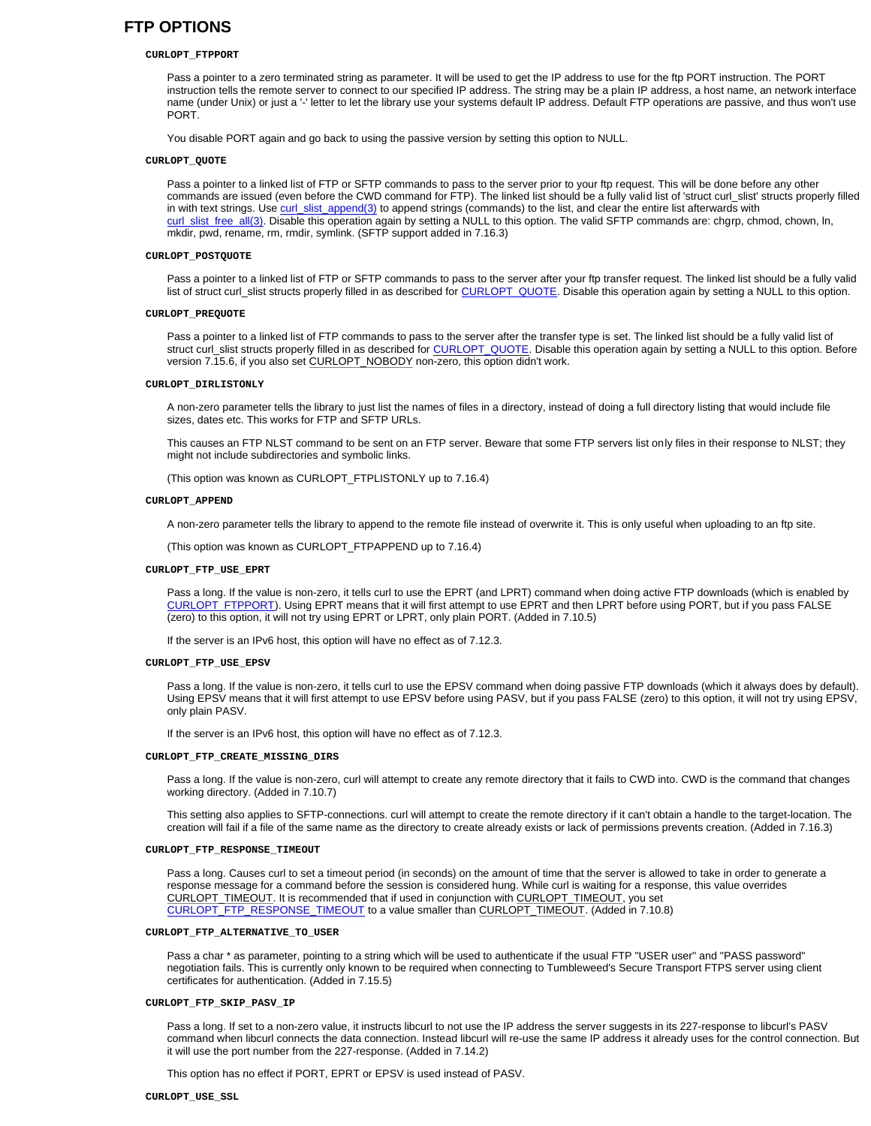# **FTP OPTIONS**

#### **CURLOPT\_FTPPORT**

Pass a pointer to a zero terminated string as parameter. It will be used to get the IP address to use for the ftp PORT instruction. The PORT instruction tells the remote server to connect to our specified IP address. The string may be a plain IP address, a host name, an network interface name (under Unix) or just a '-' letter to let the library use your systems default IP address. Default FTP operations are passive, and thus won't use PORT.

You disable PORT again and go back to using the passive version by setting this option to NULL.

#### **CURLOPT\_QUOTE**

Pass a pointer to a linked list of FTP or SFTP commands to pass to the server prior to your ftp request. This will be done before any other commands are issued (even before the CWD command for FTP). The linked list should be a fully valid list of 'struct curl\_slist' structs properly filled in with text strings. Use curl\_slist\_append(3) to append strings (commands) to the list, and clear the entire list afterwards with curl\_slist\_free\_all(3). Disable this operation again by setting a NULL to this option. The valid SFTP commands are: chgrp, chmod, chown, ln, mkdir, pwd, rename, rm, rmdir, symlink. (SFTP support added in 7.16.3)

## **CURLOPT\_POSTQUOTE**

Pass a pointer to a linked list of FTP or SFTP commands to pass to the server after your ftp transfer request. The linked list should be a fully valid list of struct curl\_slist structs properly filled in as described for CURLOPT\_QUOTE. Disable this operation again by setting a NULL to this option.

#### **CURLOPT\_PREQUOTE**

Pass a pointer to a linked list of FTP commands to pass to the server after the transfer type is set. The linked list should be a fully valid list of struct curl\_slist structs properly filled in as described for CURLOPT\_QUOTE. Disable this operation again by setting a NULL to this option. Before version 7.15.6, if you also set CURLOPT\_NOBODY non-zero, this option didn't work.

#### **CURLOPT\_DIRLISTONLY**

A non-zero parameter tells the library to just list the names of files in a directory, instead of doing a full directory listing that would include file sizes, dates etc. This works for FTP and SFTP URLs.

This causes an FTP NLST command to be sent on an FTP server. Beware that some FTP servers list only files in their response to NLST; they might not include subdirectories and symbolic links.

(This option was known as CURLOPT\_FTPLISTONLY up to 7.16.4)

#### **CURLOPT\_APPEND**

A non-zero parameter tells the library to append to the remote file instead of overwrite it. This is only useful when uploading to an ftp site.

(This option was known as CURLOPT\_FTPAPPEND up to 7.16.4)

#### **CURLOPT\_FTP\_USE\_EPRT**

Pass a long. If the value is non-zero, it tells curl to use the EPRT (and LPRT) command when doing active FTP downloads (which is enabled by CURLOPT\_FTPPORT). Using EPRT means that it will first attempt to use EPRT and then LPRT before using PORT, but if you pass FALSE (zero) to this option, it will not try using EPRT or LPRT, only plain PORT. (Added in 7.10.5)

If the server is an IPv6 host, this option will have no effect as of 7.12.3.

#### **CURLOPT\_FTP\_USE\_EPSV**

Pass a long. If the value is non-zero, it tells curl to use the EPSV command when doing passive FTP downloads (which it always does by default). Using EPSV means that it will first attempt to use EPSV before using PASV, but if you pass FALSE (zero) to this option, it will not try using EPSV, only plain PASV.

If the server is an IPv6 host, this option will have no effect as of 7.12.3.

#### **CURLOPT\_FTP\_CREATE\_MISSING\_DIRS**

Pass a long. If the value is non-zero, curl will attempt to create any remote directory that it fails to CWD into. CWD is the command that changes working directory. (Added in 7.10.7)

This setting also applies to SFTP-connections. curl will attempt to create the remote directory if it can't obtain a handle to the target-location. The creation will fail if a file of the same name as the directory to create already exists or lack of permissions prevents creation. (Added in 7.16.3)

### **CURLOPT\_FTP\_RESPONSE\_TIMEOUT**

Pass a long. Causes curl to set a timeout period (in seconds) on the amount of time that the server is allowed to take in order to generate a response message for a command before the session is considered hung. While curl is waiting for a response, this value overrides CURLOPT\_TIMEOUT. It is recommended that if used in conjunction with CURLOPT\_TIMEOUT, you set CURLOPT\_FTP\_RESPONSE\_TIMEOUT to a value smaller than CURLOPT\_TIMEOUT. (Added in 7.10.8)

#### **CURLOPT\_FTP\_ALTERNATIVE\_TO\_USER**

Pass a char \* as parameter, pointing to a string which will be used to authenticate if the usual FTP "USER user" and "PASS password" negotiation fails. This is currently only known to be required when connecting to Tumbleweed's Secure Transport FTPS server using client certificates for authentication. (Added in 7.15.5)

#### **CURLOPT\_FTP\_SKIP\_PASV\_IP**

Pass a long. If set to a non-zero value, it instructs libcurl to not use the IP address the server suggests in its 227-response to libcurl's PASV command when libcurl connects the data connection. Instead libcurl will re-use the same IP address it already uses for the control connection. But it will use the port number from the 227-response. (Added in 7.14.2)

This option has no effect if PORT, EPRT or EPSV is used instead of PASV.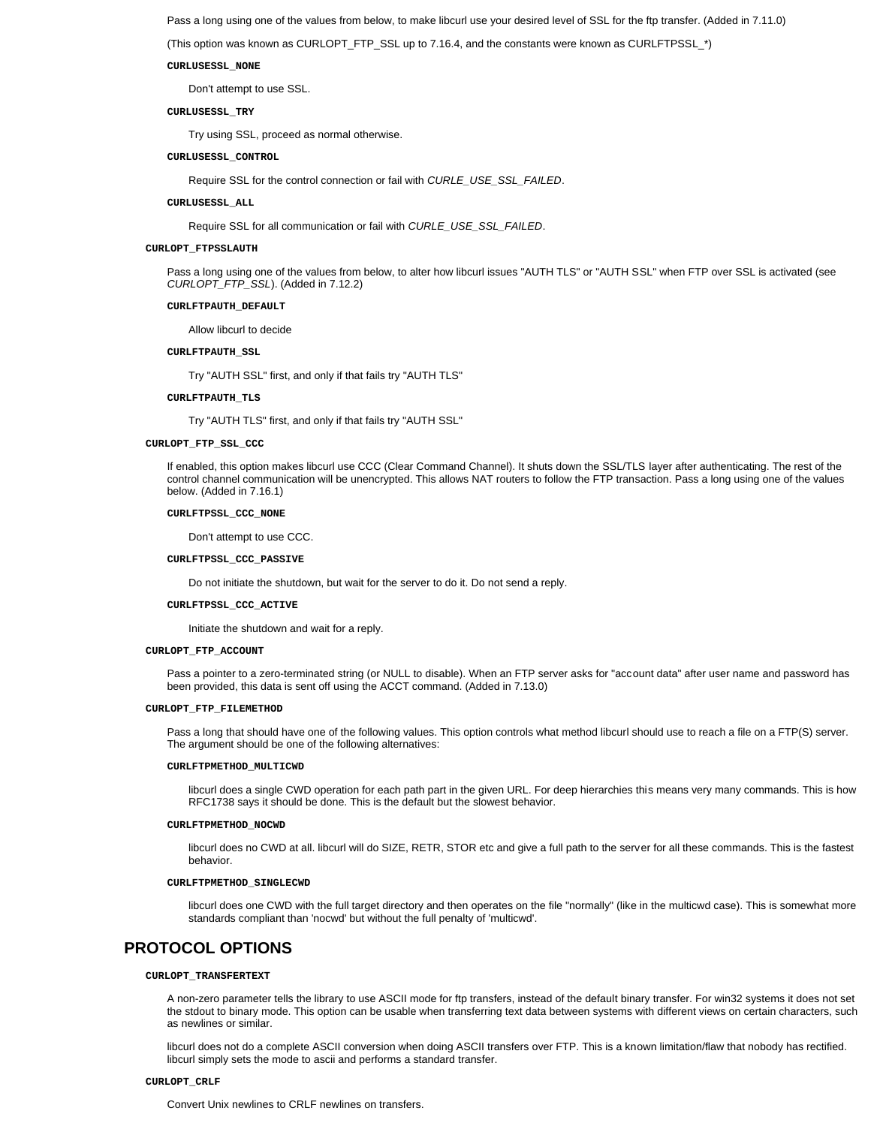Pass a long using one of the values from below, to make libcurl use your desired level of SSL for the ftp transfer. (Added in 7.11.0)

(This option was known as CURLOPT\_FTP\_SSL up to 7.16.4, and the constants were known as CURLFTPSSL\_\*)

**CURLUSESSL\_NONE**

Don't attempt to use SSL.

**CURLUSESSL\_TRY**

Try using SSL, proceed as normal otherwise.

**CURLUSESSL\_CONTROL**

Require SSL for the control connection or fail with *CURLE\_USE\_SSL\_FAILED*.

**CURLUSESSL\_ALL**

Require SSL for all communication or fail with *CURLE\_USE\_SSL\_FAILED*.

## **CURLOPT\_FTPSSLAUTH**

Pass a long using one of the values from below, to alter how libcurl issues "AUTH TLS" or "AUTH SSL" when FTP over SSL is activated (see *CURLOPT\_FTP\_SSL*). (Added in 7.12.2)

#### **CURLFTPAUTH\_DEFAULT**

Allow libcurl to decide

### **CURLFTPAUTH\_SSL**

Try "AUTH SSL" first, and only if that fails try "AUTH TLS"

## **CURLFTPAUTH\_TLS**

Try "AUTH TLS" first, and only if that fails try "AUTH SSL"

## **CURLOPT\_FTP\_SSL\_CCC**

If enabled, this option makes libcurl use CCC (Clear Command Channel). It shuts down the SSL/TLS layer after authenticating. The rest of the control channel communication will be unencrypted. This allows NAT routers to follow the FTP transaction. Pass a long using one of the values below. (Added in 7.16.1)

## **CURLFTPSSL\_CCC\_NONE**

Don't attempt to use CCC.

#### **CURLFTPSSL\_CCC\_PASSIVE**

Do not initiate the shutdown, but wait for the server to do it. Do not send a reply.

#### **CURLFTPSSL\_CCC\_ACTIVE**

Initiate the shutdown and wait for a reply.

#### **CURLOPT\_FTP\_ACCOUNT**

Pass a pointer to a zero-terminated string (or NULL to disable). When an FTP server asks for "account data" after user name and password has been provided, this data is sent off using the ACCT command. (Added in 7.13.0)

## **CURLOPT\_FTP\_FILEMETHOD**

Pass a long that should have one of the following values. This option controls what method libcurl should use to reach a file on a FTP(S) server. The argument should be one of the following alternatives:

#### **CURLFTPMETHOD\_MULTICWD**

libcurl does a single CWD operation for each path part in the given URL. For deep hierarchies this means very many commands. This is how RFC1738 says it should be done. This is the default but the slowest behavior.

#### **CURLFTPMETHOD\_NOCWD**

libcurl does no CWD at all. libcurl will do SIZE, RETR, STOR etc and give a full path to the server for all these commands. This is the fastest behavior.

## **CURLFTPMETHOD\_SINGLECWD**

libcurl does one CWD with the full target directory and then operates on the file "normally" (like in the multicwd case). This is somewhat more standards compliant than 'nocwd' but without the full penalty of 'multicwd'.

# **PROTOCOL OPTIONS**

## **CURLOPT\_TRANSFERTEXT**

A non-zero parameter tells the library to use ASCII mode for ftp transfers, instead of the default binary transfer. For win32 systems it does not set the stdout to binary mode. This option can be usable when transferring text data between systems with different views on certain characters, such as newlines or similar.

libcurl does not do a complete ASCII conversion when doing ASCII transfers over FTP. This is a known limitation/flaw that nobody has rectified. libcurl simply sets the mode to ascii and performs a standard transfer.

#### **CURLOPT\_CRLF**

Convert Unix newlines to CRLF newlines on transfers.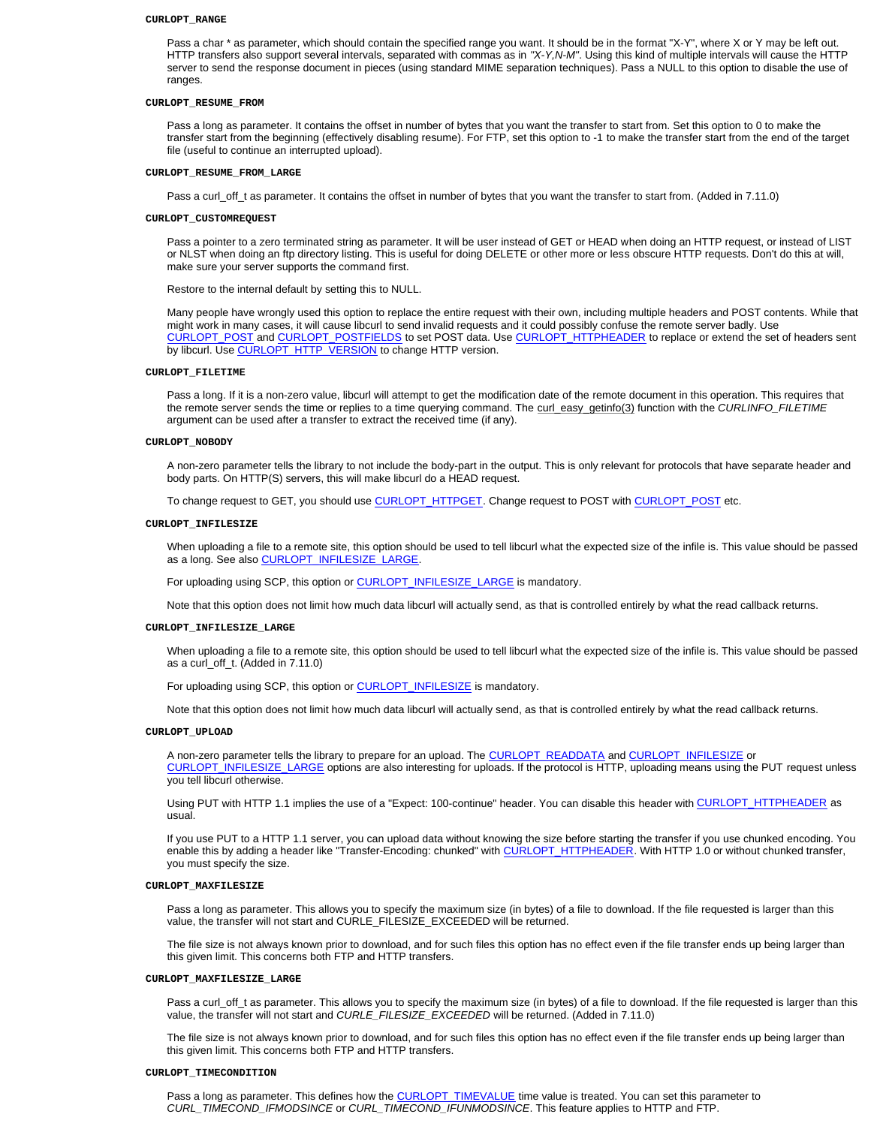#### **CURLOPT\_RANGE**

Pass a char \* as parameter, which should contain the specified range you want. It should be in the format "X-Y", where X or Y may be left out. HTTP transfers also support several intervals, separated with commas as in *"X-Y,N-M"*. Using this kind of multiple intervals will cause the HTTP server to send the response document in pieces (using standard MIME separation techniques). Pass a NULL to this option to disable the use of ranges.

## **CURLOPT\_RESUME\_FROM**

Pass a long as parameter. It contains the offset in number of bytes that you want the transfer to start from. Set this option to 0 to make the transfer start from the beginning (effectively disabling resume). For FTP, set this option to -1 to make the transfer start from the end of the target file (useful to continue an interrupted upload).

#### **CURLOPT\_RESUME\_FROM\_LARGE**

Pass a curl\_off\_t as parameter. It contains the offset in number of bytes that you want the transfer to start from. (Added in 7.11.0)

#### **CURLOPT\_CUSTOMREQUEST**

Pass a pointer to a zero terminated string as parameter. It will be user instead of GET or HEAD when doing an HTTP request, or instead of LIST or NLST when doing an ftp directory listing. This is useful for doing DELETE or other more or less obscure HTTP requests. Don't do this at will, make sure your server supports the command first.

Restore to the internal default by setting this to NULL.

Many people have wrongly used this option to replace the entire request with their own, including multiple headers and POST contents. While that might work in many cases, it will cause libcurl to send invalid requests and it could possibly confuse the remote server badly. Use CURLOPT\_POST and CURLOPT\_POSTFIELDS to set POST data. Use CURLOPT\_HTTPHEADER to replace or extend the set of headers sent by libcurl. Use CURLOPT\_HTTP\_VERSION to change HTTP version.

#### **CURLOPT\_FILETIME**

Pass a long. If it is a non-zero value, libcurl will attempt to get the modification date of the remote document in this operation. This requires that the remote server sends the time or replies to a time querying command. The curl\_easy\_getinfo(3) function with the *CURLINFO\_FILETIME* argument can be used after a transfer to extract the received time (if any).

#### **CURLOPT\_NOBODY**

A non-zero parameter tells the library to not include the body-part in the output. This is only relevant for protocols that have separate header and body parts. On HTTP(S) servers, this will make libcurl do a HEAD request.

To change request to GET, you should use CURLOPT\_HTTPGET. Change request to POST with CURLOPT\_POST etc.

## **CURLOPT\_INFILESIZE**

When uploading a file to a remote site, this option should be used to tell libcurl what the expected size of the infile is. This value should be passed as a long. See also CURLOPT\_INFILESIZE\_LARGE.

For uploading using SCP, this option or **CURLOPT\_INFILESIZE\_LARGE** is mandatory.

Note that this option does not limit how much data libcurl will actually send, as that is controlled entirely by what the read callback returns.

## **CURLOPT\_INFILESIZE\_LARGE**

When uploading a file to a remote site, this option should be used to tell libcurl what the expected size of the infile is. This value should be passed as a curl\_off\_t. (Added in 7.11.0)

For uploading using SCP, this option or **CURLOPT\_INFILESIZE** is mandatory.

Note that this option does not limit how much data libcurl will actually send, as that is controlled entirely by what the read callback returns.

#### **CURLOPT\_UPLOAD**

A non-zero parameter tells the library to prepare for an upload. The CURLOPT\_READDATA and CURLOPT\_INFILESIZE or CURLOPT\_INFILESIZE\_LARGE options are also interesting for uploads. If the protocol is HTTP, uploading means using the PUT request unless you tell libcurl otherwise.

Using PUT with HTTP 1.1 implies the use of a "Expect: 100-continue" header. You can disable this header with CURLOPT\_HTTPHEADER as usual.

If you use PUT to a HTTP 1.1 server, you can upload data without knowing the size before starting the transfer if you use chunked encoding. You enable this by adding a header like "Transfer-Encoding: chunked" with CURLOPT\_HTTPHEADER. With HTTP 1.0 or without chunked transfer, you must specify the size.

## **CURLOPT\_MAXFILESIZE**

Pass a long as parameter. This allows you to specify the maximum size (in bytes) of a file to download. If the file requested is larger than this value, the transfer will not start and CURLE\_FILESIZE\_EXCEEDED will be returned.

The file size is not always known prior to download, and for such files this option has no effect even if the file transfer ends up being larger than this given limit. This concerns both FTP and HTTP transfers.

#### **CURLOPT\_MAXFILESIZE\_LARGE**

Pass a curl\_off\_t as parameter. This allows you to specify the maximum size (in bytes) of a file to download. If the file requested is larger than this value, the transfer will not start and *CURLE\_FILESIZE\_EXCEEDED* will be returned. (Added in 7.11.0)

The file size is not always known prior to download, and for such files this option has no effect even if the file transfer ends up being larger than this given limit. This concerns both FTP and HTTP transfers.

#### **CURLOPT\_TIMECONDITION**

Pass a long as parameter. This defines how the CURLOPT\_TIMEVALUE time value is treated. You can set this parameter to *CURL\_TIMECOND\_IFMODSINCE* or *CURL\_TIMECOND\_IFUNMODSINCE*. This feature applies to HTTP and FTP.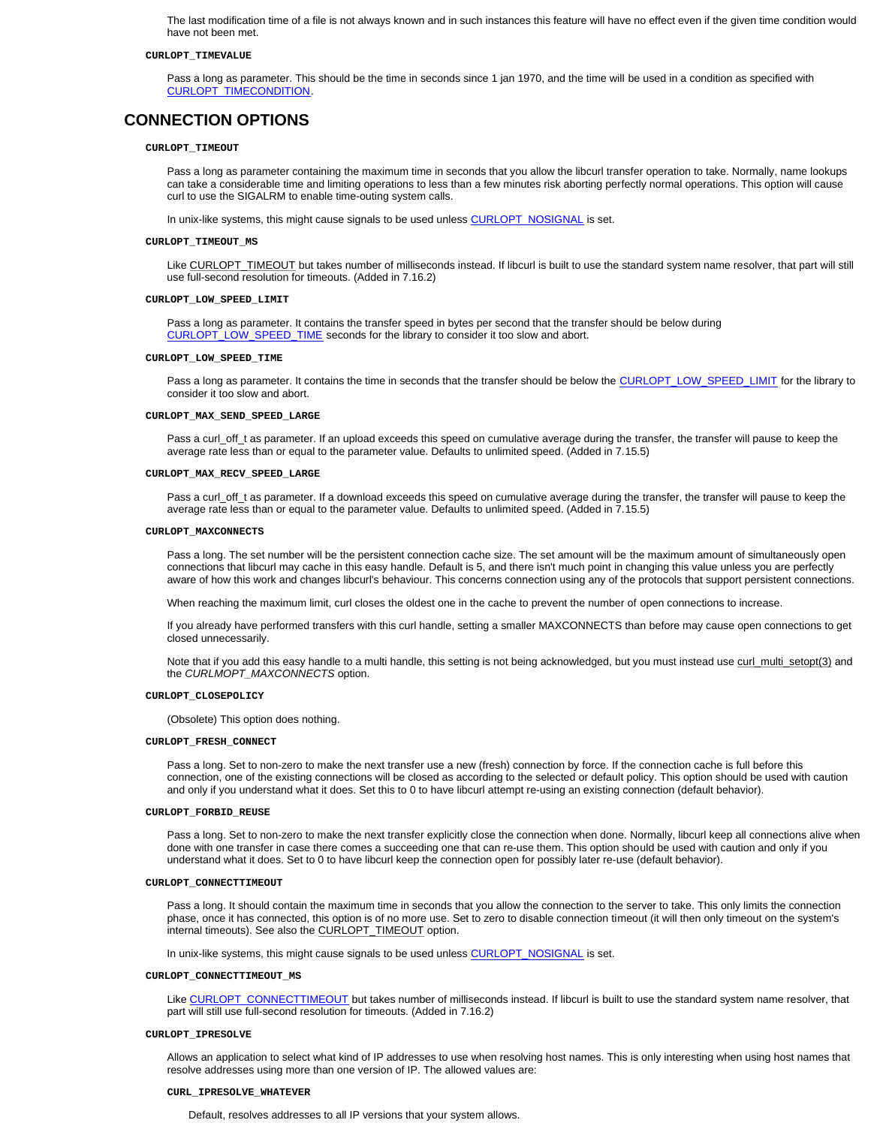The last modification time of a file is not always known and in such instances this feature will have no effect even if the given time condition would have not been met.

#### **CURLOPT\_TIMEVALUE**

Pass a long as parameter. This should be the time in seconds since 1 jan 1970, and the time will be used in a condition as specified with CURLOPT\_TIMECONDITION.

## **CONNECTION OPTIONS**

#### **CURLOPT\_TIMEOUT**

Pass a long as parameter containing the maximum time in seconds that you allow the libcurl transfer operation to take. Normally, name lookups can take a considerable time and limiting operations to less than a few minutes risk aborting perfectly normal operations. This option will cause curl to use the SIGALRM to enable time-outing system calls.

In unix-like systems, this might cause signals to be used unless CURLOPT\_NOSIGNAL is set.

#### **CURLOPT\_TIMEOUT\_MS**

Like CURLOPT\_TIMEOUT but takes number of milliseconds instead. If libcurl is built to use the standard system name resolver, that part will still use full-second resolution for timeouts. (Added in 7.16.2)

#### **CURLOPT\_LOW\_SPEED\_LIMIT**

Pass a long as parameter. It contains the transfer speed in bytes per second that the transfer should be below during CURLOPT\_LOW\_SPEED\_TIME seconds for the library to consider it too slow and abort.

#### **CURLOPT\_LOW\_SPEED\_TIME**

Pass a long as parameter. It contains the time in seconds that the transfer should be below the CURLOPT\_LOW\_SPEED\_LIMIT for the library to consider it too slow and abort.

#### **CURLOPT\_MAX\_SEND\_SPEED\_LARGE**

Pass a curl\_off\_t as parameter. If an upload exceeds this speed on cumulative average during the transfer, the transfer will pause to keep the average rate less than or equal to the parameter value. Defaults to unlimited speed. (Added in 7.15.5)

#### **CURLOPT\_MAX\_RECV\_SPEED\_LARGE**

Pass a curl\_off\_t as parameter. If a download exceeds this speed on cumulative average during the transfer, the transfer will pause to keep the average rate less than or equal to the parameter value. Defaults to unlimited speed. (Added in 7.15.5)

#### **CURLOPT\_MAXCONNECTS**

Pass a long. The set number will be the persistent connection cache size. The set amount will be the maximum amount of simultaneously open connections that libcurl may cache in this easy handle. Default is 5, and there isn't much point in changing this value unless you are perfectly aware of how this work and changes libcurl's behaviour. This concerns connection using any of the protocols that support persistent connections.

When reaching the maximum limit, curl closes the oldest one in the cache to prevent the number of open connections to increase.

If you already have performed transfers with this curl handle, setting a smaller MAXCONNECTS than before may cause open connections to get closed unnecessarily.

Note that if you add this easy handle to a multi handle, this setting is not being acknowledged, but you must instead use curl\_multi\_setopt(3) and the *CURLMOPT\_MAXCONNECTS* option.

#### **CURLOPT\_CLOSEPOLICY**

(Obsolete) This option does nothing.

#### **CURLOPT\_FRESH\_CONNECT**

Pass a long. Set to non-zero to make the next transfer use a new (fresh) connection by force. If the connection cache is full before this connection, one of the existing connections will be closed as according to the selected or default policy. This option should be used with caution and only if you understand what it does. Set this to 0 to have libcurl attempt re-using an existing connection (default behavior).

#### **CURLOPT\_FORBID\_REUSE**

Pass a long. Set to non-zero to make the next transfer explicitly close the connection when done. Normally, libcurl keep all connections alive when done with one transfer in case there comes a succeeding one that can re-use them. This option should be used with caution and only if you understand what it does. Set to 0 to have libcurl keep the connection open for possibly later re-use (default behavior).

## **CURLOPT\_CONNECTTIMEOUT**

Pass a long. It should contain the maximum time in seconds that you allow the connection to the server to take. This only limits the connection phase, once it has connected, this option is of no more use. Set to zero to disable connection timeout (it will then only timeout on the system's internal timeouts). See also the CURLOPT\_TIMEOUT option.

In unix-like systems, this might cause signals to be used unless CURLOPT\_NOSIGNAL is set.

## **CURLOPT\_CONNECTTIMEOUT\_MS**

Like CURLOPT\_CONNECTTIMEOUT but takes number of milliseconds instead. If libcurl is built to use the standard system name resolver, that part will still use full-second resolution for timeouts. (Added in 7.16.2)

#### **CURLOPT\_IPRESOLVE**

Allows an application to select what kind of IP addresses to use when resolving host names. This is only interesting when using host names that resolve addresses using more than one version of IP. The allowed values are:

#### **CURL\_IPRESOLVE\_WHATEVER**

Default, resolves addresses to all IP versions that your system allows.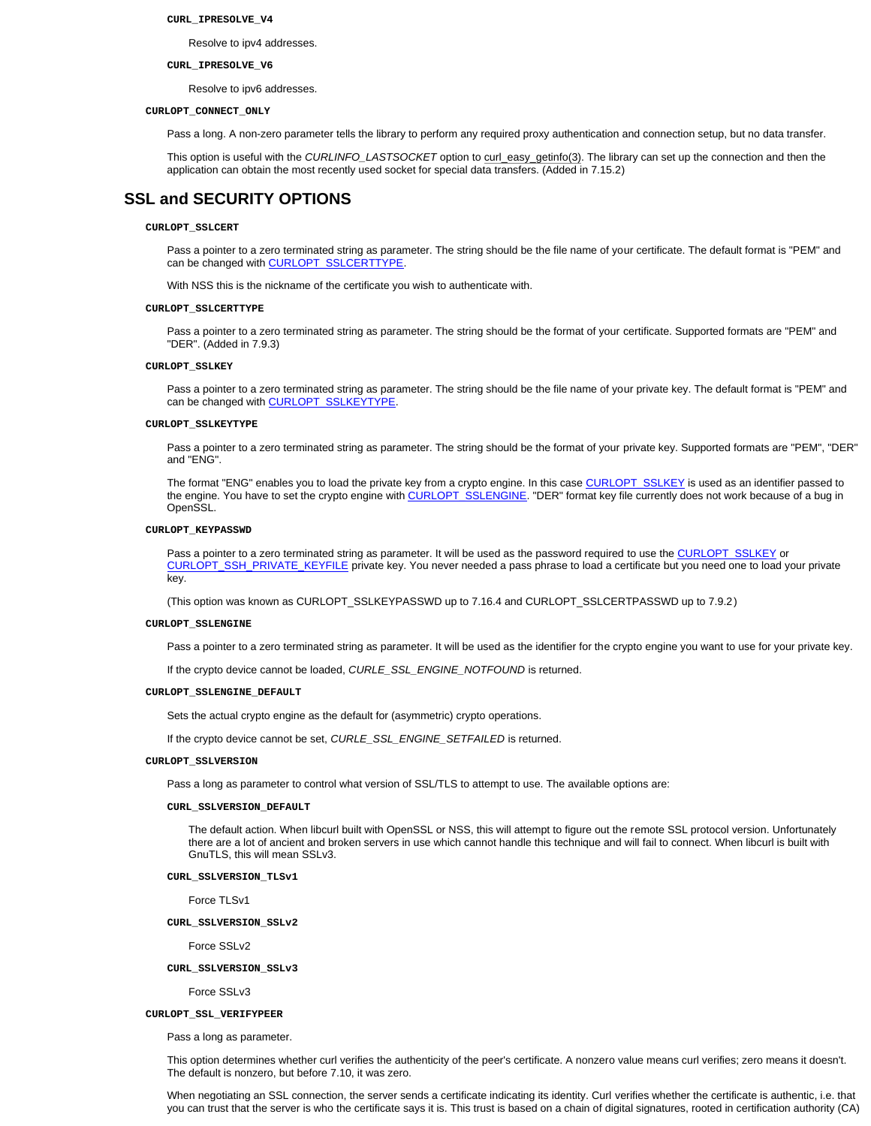#### **CURL\_IPRESOLVE\_V4**

Resolve to ipv4 addresses.

#### **CURL\_IPRESOLVE\_V6**

Resolve to ipv6 addresses.

#### **CURLOPT\_CONNECT\_ONLY**

Pass a long. A non-zero parameter tells the library to perform any required proxy authentication and connection setup, but no data transfer.

This option is useful with the *CURLINFO\_LASTSOCKET* option to curl\_easy\_getinfo(3). The library can set up the connection and then the application can obtain the most recently used socket for special data transfers. (Added in 7.15.2)

# **SSL and SECURITY OPTIONS**

## **CURLOPT\_SSLCERT**

Pass a pointer to a zero terminated string as parameter. The string should be the file name of your certificate. The default format is "PEM" and can be changed with CURLOPT\_SSLCERTTYPE.

With NSS this is the nickname of the certificate you wish to authenticate with.

## **CURLOPT\_SSLCERTTYPE**

Pass a pointer to a zero terminated string as parameter. The string should be the format of your certificate. Supported formats are "PEM" and "DER". (Added in 7.9.3)

#### **CURLOPT\_SSLKEY**

Pass a pointer to a zero terminated string as parameter. The string should be the file name of your private key. The default format is "PEM" and can be changed with CURLOPT\_SSLKEYTYPE.

#### **CURLOPT\_SSLKEYTYPE**

Pass a pointer to a zero terminated string as parameter. The string should be the format of your private key. Supported formats are "PEM", "DER" and "ENG".

The format "ENG" enables you to load the private key from a crypto engine. In this case CURLOPT\_SSLKEY is used as an identifier passed to the engine. You have to set the crypto engine with CURLOPT\_SSLENGINE. "DER" format key file currently does not work because of a bug in OpenSSL.

## **CURLOPT\_KEYPASSWD**

Pass a pointer to a zero terminated string as parameter. It will be used as the password required to use the CURLOPT\_SSLKEY or CURLOPT\_SSH\_PRIVATE\_KEYFILE private key. You never needed a pass phrase to load a certificate but you need one to load your private key.

(This option was known as CURLOPT\_SSLKEYPASSWD up to 7.16.4 and CURLOPT\_SSLCERTPASSWD up to 7.9.2)

## **CURLOPT\_SSLENGINE**

Pass a pointer to a zero terminated string as parameter. It will be used as the identifier for the crypto engine you want to use for your private key.

If the crypto device cannot be loaded, *CURLE\_SSL\_ENGINE\_NOTFOUND* is returned.

#### **CURLOPT\_SSLENGINE\_DEFAULT**

Sets the actual crypto engine as the default for (asymmetric) crypto operations.

If the crypto device cannot be set, *CURLE\_SSL\_ENGINE\_SETFAILED* is returned.

### **CURLOPT\_SSLVERSION**

Pass a long as parameter to control what version of SSL/TLS to attempt to use. The available options are:

#### **CURL\_SSLVERSION\_DEFAULT**

The default action. When libcurl built with OpenSSL or NSS, this will attempt to figure out the remote SSL protocol version. Unfortunately there are a lot of ancient and broken servers in use which cannot handle this technique and will fail to connect. When libcurl is built with GnuTLS, this will mean SSLv3.

## **CURL\_SSLVERSION\_TLSv1**

Force TLSv1

## **CURL\_SSLVERSION\_SSLv2**

Force SSLv2

## **CURL\_SSLVERSION\_SSLv3**

Force SSLv3

#### **CURLOPT\_SSL\_VERIFYPEER**

Pass a long as parameter.

This option determines whether curl verifies the authenticity of the peer's certificate. A nonzero value means curl verifies; zero means it doesn't. The default is nonzero, but before 7.10, it was zero.

When negotiating an SSL connection, the server sends a certificate indicating its identity. Curl verifies whether the certificate is authentic, i.e. that you can trust that the server is who the certificate says it is. This trust is based on a chain of digital signatures, rooted in certification authority (CA)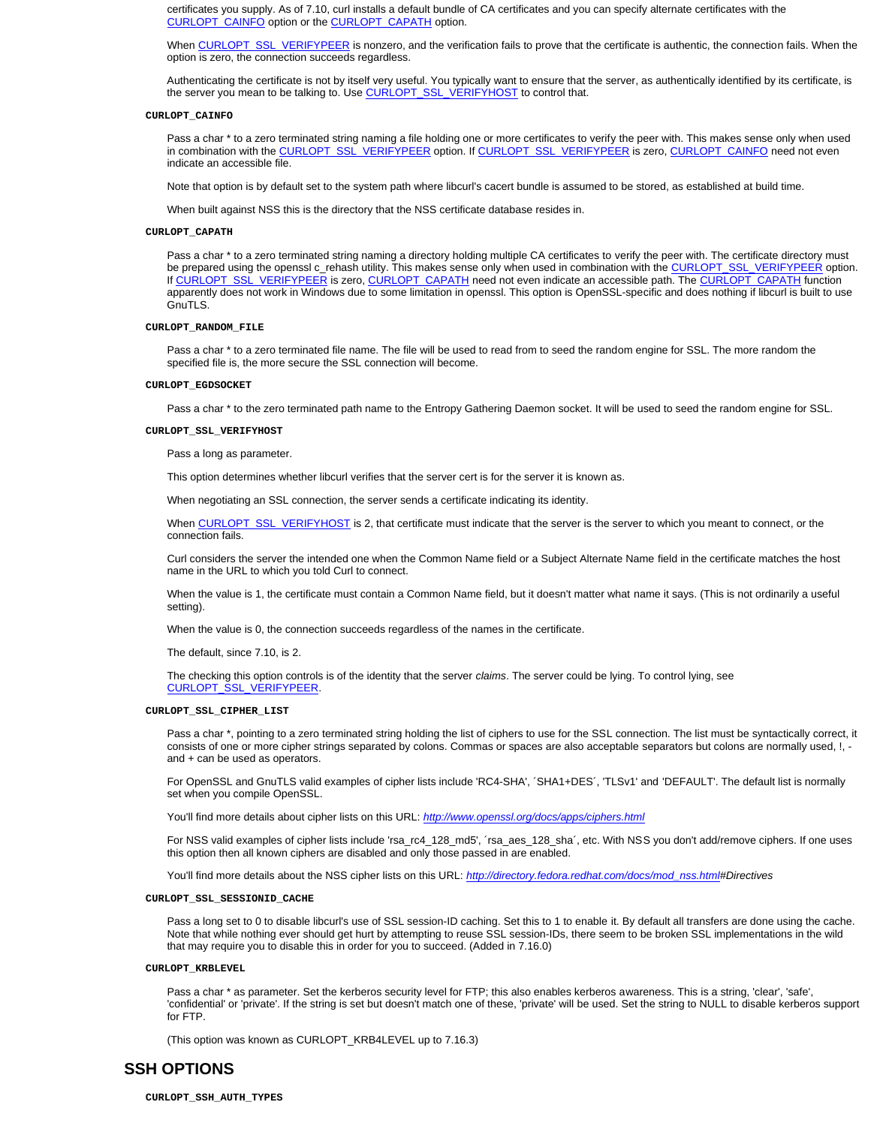certificates you supply. As of 7.10, curl installs a default bundle of CA certificates and you can specify alternate certificates with the CURLOPT\_CAINFO option or the CURLOPT\_CAPATH option.

When CURLOPT\_SSL\_VERIFYPEER is nonzero, and the verification fails to prove that the certificate is authentic, the connection fails. When the option is zero, the connection succeeds regardless.

Authenticating the certificate is not by itself very useful. You typically want to ensure that the server, as authentically identified by its certificate, is the server you mean to be talking to. Use CURLOPT\_SSL\_VERIFYHOST to control that.

#### **CURLOPT\_CAINFO**

Pass a char \* to a zero terminated string naming a file holding one or more certificates to verify the peer with. This makes sense only when used in combination with the CURLOPT\_SSL\_VERIFYPEER option. If CURLOPT\_SSL\_VERIFYPEER is zero, CURLOPT\_CAINFO need not even indicate an accessible file.

Note that option is by default set to the system path where libcurl's cacert bundle is assumed to be stored, as established at build time.

When built against NSS this is the directory that the NSS certificate database resides in.

#### **CURLOPT\_CAPATH**

Pass a char \* to a zero terminated string naming a directory holding multiple CA certificates to verify the peer with. The certificate directory must be prepared using the openssl c\_rehash utility. This makes sense only when used in combination with the CURLOPT\_SSL\_VERIFYPEER option. If CURLOPT\_SSL\_VERIFYPEER is zero, CURLOPT\_CAPATH need not even indicate an accessible path. The CURLOPT\_CAPATH function apparently does not work in Windows due to some limitation in openssl. This option is OpenSSL-specific and does nothing if libcurl is built to use GnuTLS.

### **CURLOPT\_RANDOM\_FILE**

Pass a char \* to a zero terminated file name. The file will be used to read from to seed the random engine for SSL. The more random the specified file is, the more secure the SSL connection will become.

#### **CURLOPT\_EGDSOCKET**

Pass a char \* to the zero terminated path name to the Entropy Gathering Daemon socket. It will be used to seed the random engine for SSL.

#### **CURLOPT\_SSL\_VERIFYHOST**

Pass a long as parameter.

This option determines whether libcurl verifies that the server cert is for the server it is known as.

When negotiating an SSL connection, the server sends a certificate indicating its identity.

When CURLOPT\_SSL\_VERIFYHOST is 2, that certificate must indicate that the server is the server to which you meant to connect, or the connection fails.

Curl considers the server the intended one when the Common Name field or a Subject Alternate Name field in the certificate matches the host name in the URL to which you told Curl to connect.

When the value is 1, the certificate must contain a Common Name field, but it doesn't matter what name it says. (This is not ordinarily a useful setting).

When the value is 0, the connection succeeds regardless of the names in the certificate.

The default, since 7.10, is 2.

The checking this option controls is of the identity that the server *claims*. The server could be lying. To control lying, see CURLOPT\_SSL\_VERIFYPEER.

#### **CURLOPT\_SSL\_CIPHER\_LIST**

Pass a char \*, pointing to a zero terminated string holding the list of ciphers to use for the SSL connection. The list must be syntactically correct, it consists of one or more cipher strings separated by colons. Commas or spaces are also acceptable separators but colons are normally used, !, and + can be used as operators.

For OpenSSL and GnuTLS valid examples of cipher lists include 'RC4-SHA', ´SHA1+DES´, 'TLSv1' and 'DEFAULT'. The default list is normally set when you compile OpenSSL.

You'll find more details about cipher lists on this URL: *http://www.openssl.org/docs/apps/ciphers.html*

For NSS valid examples of cipher lists include 'rsa\_rc4\_128\_md5', ´rsa\_aes\_128\_sha´, etc. With NSS you don't add/remove ciphers. If one uses this option then all known ciphers are disabled and only those passed in are enabled.

You'll find more details about the NSS cipher lists on this URL: *http://directory.fedora.redhat.com/docs/mod\_nss.html#Directives*

## **CURLOPT\_SSL\_SESSIONID\_CACHE**

Pass a long set to 0 to disable libcurl's use of SSL session-ID caching. Set this to 1 to enable it. By default all transfers are done using the cache. Note that while nothing ever should get hurt by attempting to reuse SSL session-IDs, there seem to be broken SSL implementations in the wild that may require you to disable this in order for you to succeed. (Added in 7.16.0)

## **CURLOPT\_KRBLEVEL**

Pass a char \* as parameter. Set the kerberos security level for FTP; this also enables kerberos awareness. This is a string, 'clear', 'safe', 'confidential' or 'private'. If the string is set but doesn't match one of these, 'private' will be used. Set the string to NULL to disable kerberos support for FTP.

(This option was known as CURLOPT\_KRB4LEVEL up to 7.16.3)

## **SSH OPTIONS**